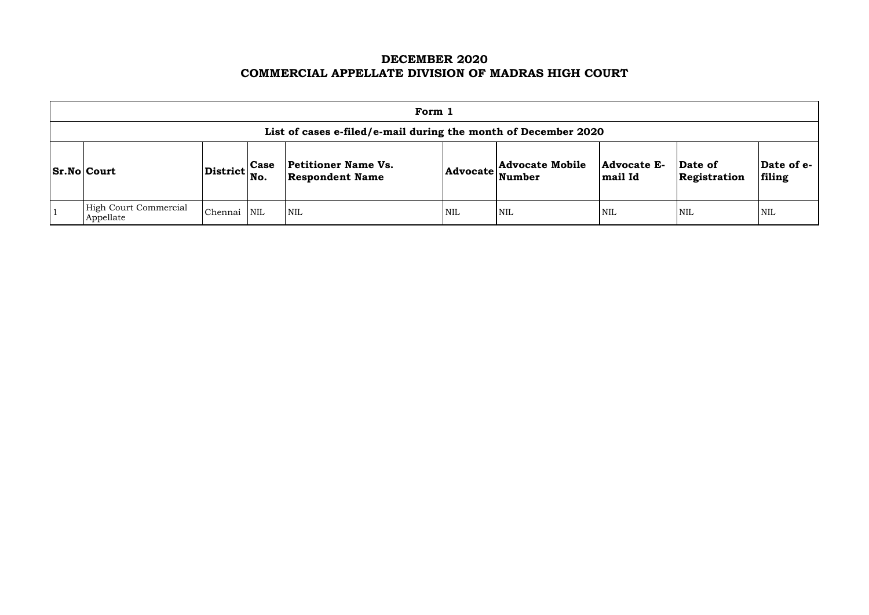# **DECEMBER 2020 COMMERCIAL APPELLATE DIVISION OF MADRAS HIGH COURT**

| Form 1                                                                                                                                                                                                                                                                          |         |            |                            |            |            |            |            |                      |  |  |
|---------------------------------------------------------------------------------------------------------------------------------------------------------------------------------------------------------------------------------------------------------------------------------|---------|------------|----------------------------|------------|------------|------------|------------|----------------------|--|--|
| List of cases e-filed/e-mail during the month of December 2020                                                                                                                                                                                                                  |         |            |                            |            |            |            |            |                      |  |  |
| <b>Advocate Mobile</b><br><b>Petitioner Name Vs.</b><br>Date of<br><b>Advocate E-</b><br><b>Case</b><br>$ {\rm District} \Big  {\rm No}.$<br>$ Sr.No $ Court<br>$\mathsf{Id}$ vocate $\left \sum_{\mathbf{Number}}\right $<br><b>Respondent Name</b><br>mail Id<br>Registration |         |            |                            |            |            |            |            | Date of e-<br>filing |  |  |
| High Court Commercial<br>Appellate                                                                                                                                                                                                                                              | Chennai | <b>NIL</b> | $\mathsf{I}\,\mathrm{NIL}$ | <b>NIL</b> | <b>NIL</b> | <b>NIL</b> | <b>NIL</b> | <b>NIL</b>           |  |  |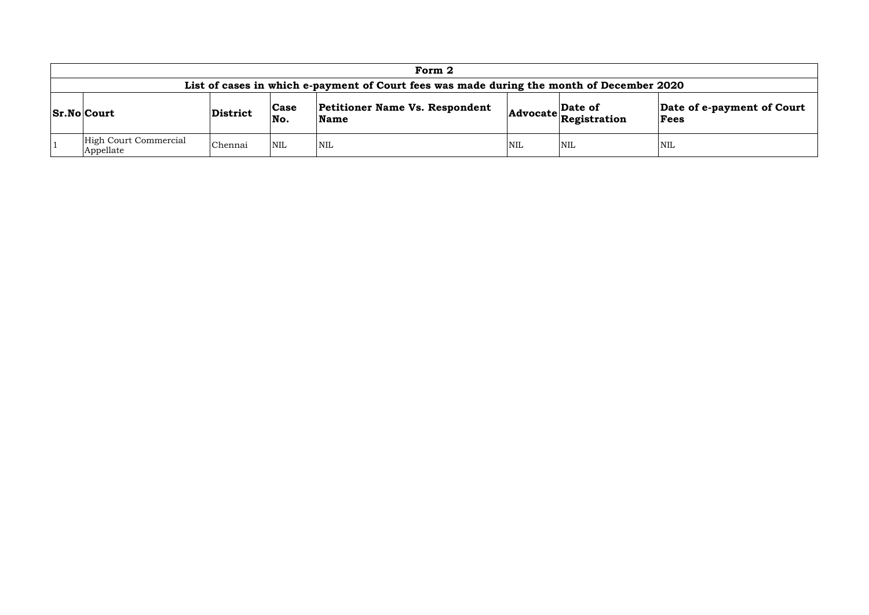| Form 2                                                                                    |          |                         |                                               |                                  |                                    |            |  |  |  |
|-------------------------------------------------------------------------------------------|----------|-------------------------|-----------------------------------------------|----------------------------------|------------------------------------|------------|--|--|--|
| List of cases in which e-payment of Court fees was made during the month of December 2020 |          |                         |                                               |                                  |                                    |            |  |  |  |
| <b>Sr.No Court</b>                                                                        | District | Case<br>No.             | <b>Petitioner Name Vs. Respondent</b><br>Name | Date of<br>Advocate Registration | Date of e-payment of Court<br>Fees |            |  |  |  |
| High Court Commercial<br>Appellate                                                        | Chennai  | $\overline{\text{NNL}}$ | <b>NIL</b>                                    | <b>NIL</b>                       | <b>NIL</b>                         | <b>NIL</b> |  |  |  |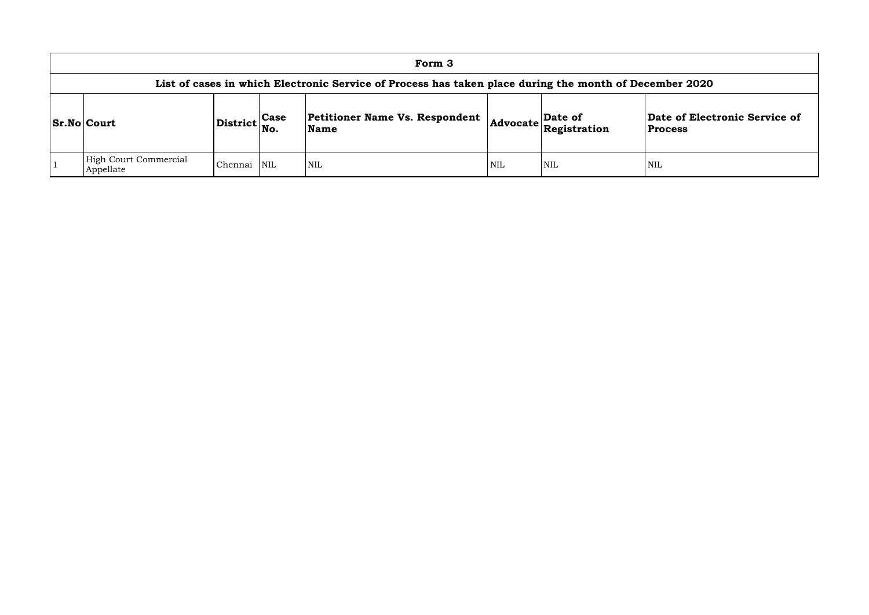| Form 3                                                                                                 |               |            |                                               |            |                                               |                                |  |  |  |  |  |
|--------------------------------------------------------------------------------------------------------|---------------|------------|-----------------------------------------------|------------|-----------------------------------------------|--------------------------------|--|--|--|--|--|
| List of cases in which Electronic Service of Process has taken place during the month of December 2020 |               |            |                                               |            |                                               |                                |  |  |  |  |  |
| <b>Sr.No Court</b>                                                                                     | District Case | No.        | <b>Petitioner Name Vs. Respondent</b><br>Name |            | $\left  \text{Advocate} \right $ Registration | Date of Elec<br><b>Process</b> |  |  |  |  |  |
| High Court Commercial<br>Appellate                                                                     | Chennai       | <b>NIL</b> | <b>NIL</b>                                    | <b>NIL</b> | <b>NIL</b>                                    | <b>NIL</b>                     |  |  |  |  |  |

## **Date of Electronic Service of Process**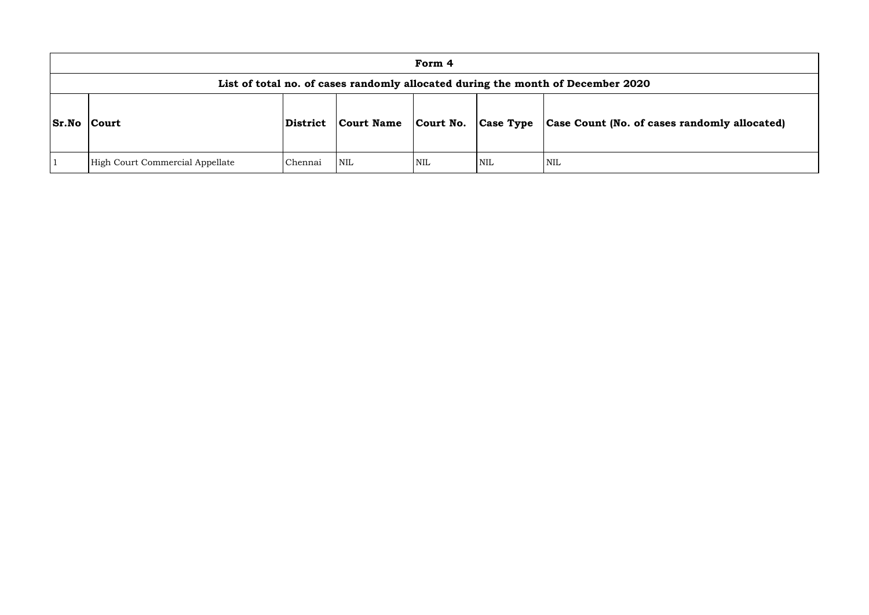|              | Form 4                                                                          |                 |                   |            |                  |                              |  |  |  |  |  |  |
|--------------|---------------------------------------------------------------------------------|-----------------|-------------------|------------|------------------|------------------------------|--|--|--|--|--|--|
|              | List of total no. of cases randomly allocated during the month of December 2020 |                 |                   |            |                  |                              |  |  |  |  |  |  |
| <b>Sr.No</b> | <b>Court</b>                                                                    | <b>District</b> | <b>Court Name</b> | Court No.  | <b>Case Type</b> | <b>Case Count (No. of ca</b> |  |  |  |  |  |  |
|              | High Court Commercial Appellate                                                 | Chennai         | <b>NIL</b>        | <b>NIL</b> | <b>NIL</b>       | <b>NIL</b>                   |  |  |  |  |  |  |

# **Sr.No Court District Court Name Court No. Case Type Case Count (No. of cases randomly allocated)**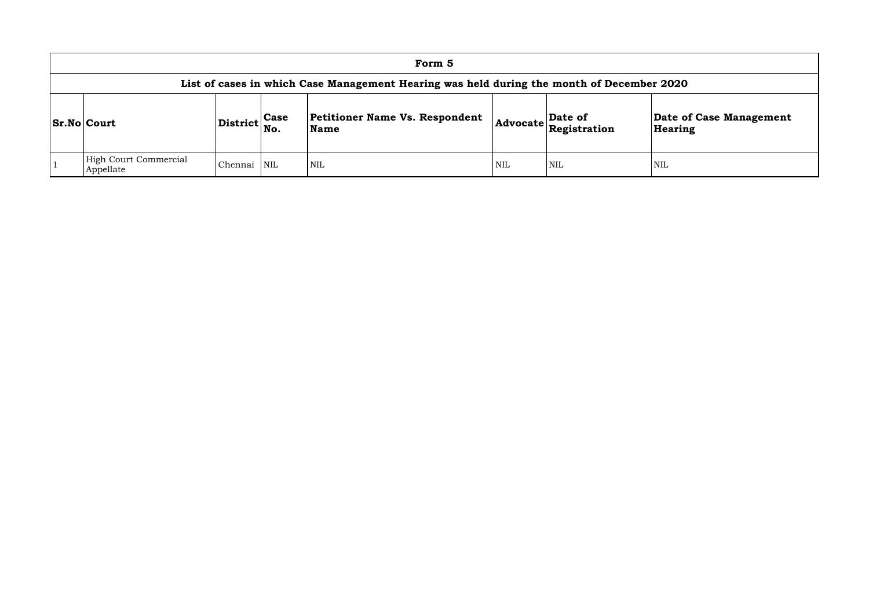| Form 5                                                                                    |                 |                    |                                               |                 |                         |                  |  |  |  |  |  |
|-------------------------------------------------------------------------------------------|-----------------|--------------------|-----------------------------------------------|-----------------|-------------------------|------------------|--|--|--|--|--|
| List of cases in which Case Management Hearing was held during the month of December 2020 |                 |                    |                                               |                 |                         |                  |  |  |  |  |  |
| <b>Sr.No Court</b>                                                                        | <b>District</b> | <b>Case</b><br>No. | Petitioner Name Vs. Respondent<br><b>Name</b> | <b>Advocate</b> | Date of<br>Registration | Date o<br>Hearin |  |  |  |  |  |
| <b>High Court Commercial</b><br>Appellate                                                 | Chennai         | <b>NIL</b>         | NIL                                           | <b>NIL</b>      | NIL                     | <b>NIL</b>       |  |  |  |  |  |

## **Date of Case Management Hearing**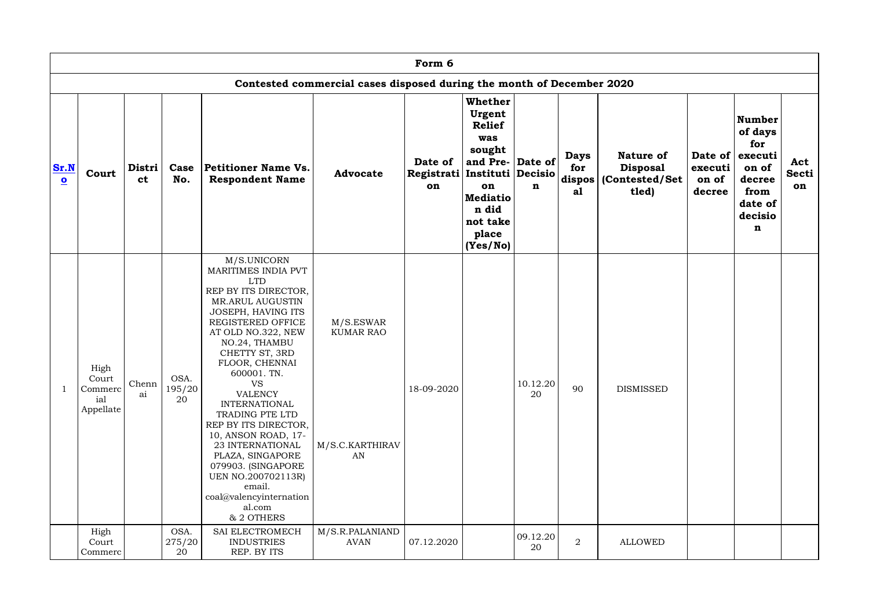|                                 |                                              |                |                      |                                                                                                                                                                                                                                                                                                                                                                                                                                                                                                             |                                                                       | Form 6                      |                                                                                                                                                                 |                |                                            |                                                                 |                            |                                                                                                          |                           |
|---------------------------------|----------------------------------------------|----------------|----------------------|-------------------------------------------------------------------------------------------------------------------------------------------------------------------------------------------------------------------------------------------------------------------------------------------------------------------------------------------------------------------------------------------------------------------------------------------------------------------------------------------------------------|-----------------------------------------------------------------------|-----------------------------|-----------------------------------------------------------------------------------------------------------------------------------------------------------------|----------------|--------------------------------------------|-----------------------------------------------------------------|----------------------------|----------------------------------------------------------------------------------------------------------|---------------------------|
|                                 |                                              |                |                      |                                                                                                                                                                                                                                                                                                                                                                                                                                                                                                             | Contested commercial cases disposed during the month of December 2020 |                             |                                                                                                                                                                 |                |                                            |                                                                 |                            |                                                                                                          |                           |
| Sr.N<br>$\overline{\mathbf{o}}$ | Court                                        | Distri  <br>ct | Case<br>No.          | Petitioner Name Vs.<br><b>Respondent Name</b>                                                                                                                                                                                                                                                                                                                                                                                                                                                               | <b>Advocate</b>                                                       | Date of<br>Registrati<br>on | Whether<br>Urgent<br><b>Relief</b><br>was<br>sought<br>and Pre- Date of<br>Instituti Decisio<br>on<br><b>Mediatio</b><br>n did<br>not take<br>place<br>(Yes/No) | $\mathbf n$    | <b>Days</b><br>for<br>$ $ dispos $ $<br>al | <b>Nature of</b><br><b>Disposal</b><br>(Contested/Set)<br>tled) | executi<br>on of<br>decree | <b>Number</b><br>of days<br>for<br>Date of executi<br>on of<br>decree<br>from<br>date of<br>decisio<br>n | Act<br><b>Secti</b><br>on |
|                                 | High<br>Court<br>Commerc<br>ial<br>Appellate | Chenn  <br>ai  | OSA.<br>195/20<br>20 | M/S.UNICORN<br>MARITIMES INDIA PVT<br><b>LTD</b><br>REP BY ITS DIRECTOR,<br>MR.ARUL AUGUSTIN<br>JOSEPH, HAVING ITS<br>REGISTERED OFFICE<br>AT OLD NO.322, NEW<br>NO.24, THAMBU<br>CHETTY ST, 3RD<br>FLOOR, CHENNAI<br>600001. TN.<br><b>VS</b><br><b>VALENCY</b><br><b>INTERNATIONAL</b><br>TRADING PTE LTD<br>REP BY ITS DIRECTOR,<br>10, ANSON ROAD, 17-<br>23 INTERNATIONAL<br>PLAZA, SINGAPORE<br>079903. (SINGAPORE<br>UEN NO.200702113R)<br>email.<br>coal@valencyinternation<br>al.com<br>& 2 OTHERS | M/S.ESWAR<br><b>KUMAR RAO</b><br>M/S.C.KARTHIRAV<br>AN                | 18-09-2020                  |                                                                                                                                                                 | 10.12.20<br>20 | 90                                         | <b>DISMISSED</b>                                                |                            |                                                                                                          |                           |
|                                 | High<br>Court<br>Commerc                     |                | OSA.<br>275/20<br>20 | SAI ELECTROMECH<br><b>INDUSTRIES</b><br>REP. BY ITS                                                                                                                                                                                                                                                                                                                                                                                                                                                         | M/S.R.PALANIAND<br>AVAN                                               | 07.12.2020                  |                                                                                                                                                                 | 09.12.20<br>20 | $\overline{2}$                             | <b>ALLOWED</b>                                                  |                            |                                                                                                          |                           |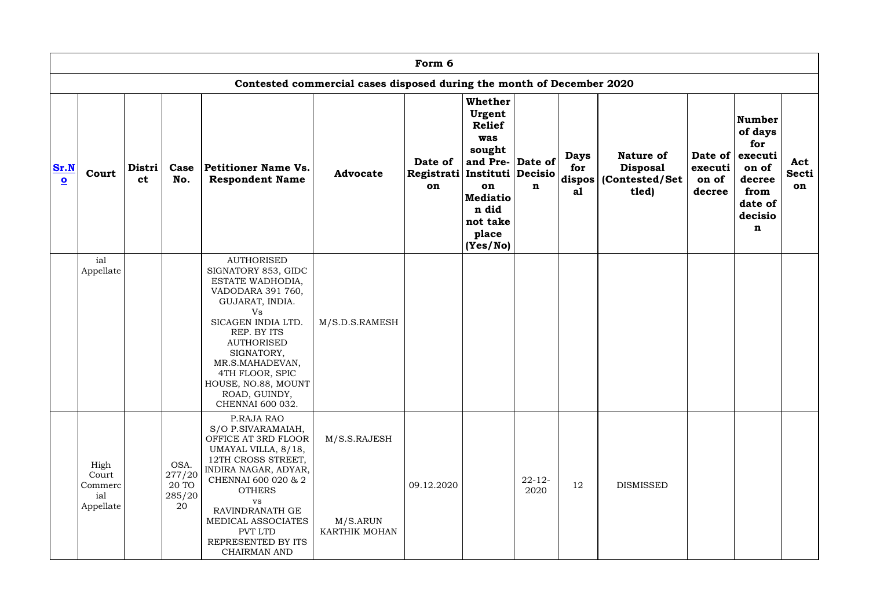|                                 |                                              |                                                   |                                         |                                                                                                                                                                                                                                                                                      |                                           | Form 6<br>Contested commercial cases disposed during the month of December 2020 |                                                                                                                                                    |                     |                          |                                                                         |                            |                                                                                                          |                           |  |  |  |  |  |
|---------------------------------|----------------------------------------------|---------------------------------------------------|-----------------------------------------|--------------------------------------------------------------------------------------------------------------------------------------------------------------------------------------------------------------------------------------------------------------------------------------|-------------------------------------------|---------------------------------------------------------------------------------|----------------------------------------------------------------------------------------------------------------------------------------------------|---------------------|--------------------------|-------------------------------------------------------------------------|----------------------------|----------------------------------------------------------------------------------------------------------|---------------------------|--|--|--|--|--|
|                                 |                                              |                                                   |                                         |                                                                                                                                                                                                                                                                                      |                                           |                                                                                 |                                                                                                                                                    |                     |                          |                                                                         |                            |                                                                                                          |                           |  |  |  |  |  |
| Sr.N<br>$\overline{\mathbf{o}}$ | Court                                        | Distri  <br>Case<br>ct<br>No.<br>ial<br>Appellate |                                         | Petitioner Name Vs.<br><b>Respondent Name</b>                                                                                                                                                                                                                                        | <b>Advocate</b>                           | Date of<br>Registrati Instituti Decisio<br>on                                   | Whether<br>Urgent<br><b>Relief</b><br>was<br>sought<br>and Pre- $ $ Date of $ $<br>on<br><b>Mediatio</b><br>n did<br>not take<br>place<br>(Yes/No) | $\mathbf n$         | <b>Days</b><br>for<br>a1 | <b>Nature of</b><br><b>Disposal</b><br>dispos   (Contested/Set<br>tled) | executi<br>on of<br>decree | <b>Number</b><br>of days<br>for<br>Date of executi<br>on of<br>decree<br>from<br>date of<br>decisio<br>n | Act<br><b>Secti</b><br>on |  |  |  |  |  |
|                                 |                                              |                                                   |                                         | <b>AUTHORISED</b><br>SIGNATORY 853, GIDC<br>ESTATE WADHODIA,<br>VADODARA 391 760,<br>GUJARAT, INDIA.<br>Vs<br>SICAGEN INDIA LTD.<br>REP. BY ITS<br><b>AUTHORISED</b><br>SIGNATORY,<br>MR.S.MAHADEVAN,<br>4TH FLOOR, SPIC<br>HOUSE, NO.88, MOUNT<br>ROAD, GUINDY,<br>CHENNAI 600 032. | M/S.D.S.RAMESH                            |                                                                                 |                                                                                                                                                    |                     |                          |                                                                         |                            |                                                                                                          |                           |  |  |  |  |  |
|                                 | High<br>Court<br>Commerc<br>ial<br>Appellate |                                                   | OSA.<br>277/20<br>20 TO<br>285/20<br>20 | P.RAJA RAO<br>S/O P.SIVARAMAIAH,<br>OFFICE AT 3RD FLOOR<br>UMAYAL VILLA, 8/18,<br>12TH CROSS STREET,<br>INDIRA NAGAR, ADYAR,<br>CHENNAI 600 020 & 2<br><b>OTHERS</b><br><b>VS</b><br>RAVINDRANATH GE<br>MEDICAL ASSOCIATES<br>PVT LTD<br>REPRESENTED BY ITS<br><b>CHAIRMAN AND</b>   | M/S.S.RAJESH<br>M/S.ARUN<br>KARTHIK MOHAN | 09.12.2020                                                                      |                                                                                                                                                    | $22 - 12 -$<br>2020 | 12                       | <b>DISMISSED</b>                                                        |                            |                                                                                                          |                           |  |  |  |  |  |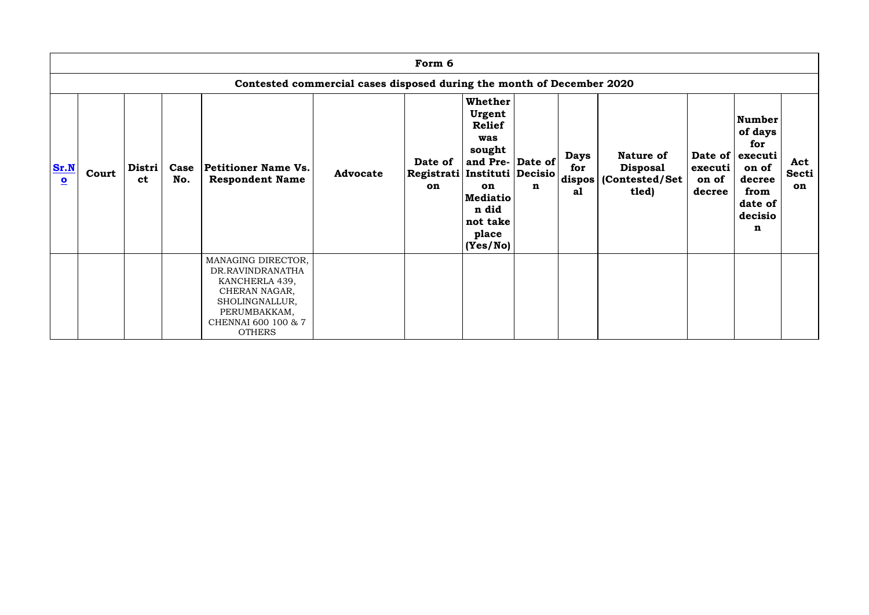|                                 |       |                       |             |                                                                                                                                                     |                                                                       | Form 6                                        |                                                                                                                                                   |             |                          |                                                                                    |                            |                                                                                                   |                           |
|---------------------------------|-------|-----------------------|-------------|-----------------------------------------------------------------------------------------------------------------------------------------------------|-----------------------------------------------------------------------|-----------------------------------------------|---------------------------------------------------------------------------------------------------------------------------------------------------|-------------|--------------------------|------------------------------------------------------------------------------------|----------------------------|---------------------------------------------------------------------------------------------------|---------------------------|
|                                 |       |                       |             |                                                                                                                                                     | Contested commercial cases disposed during the month of December 2020 |                                               |                                                                                                                                                   |             |                          |                                                                                    |                            |                                                                                                   |                           |
| Sr.N<br>$\overline{\mathbf{O}}$ | Court | Distri  <br><b>ct</b> | Case<br>No. | Petitioner Name Vs.<br><b>Respondent Name</b>                                                                                                       | <b>Advocate</b>                                                       | Date of<br>Registrati Instituti Decisio<br>on | <b>Whether</b><br>Urgent<br><b>Relief</b><br>was<br>sought<br>and Pre- Date of<br>on<br><b>Mediatio</b><br>n did<br>not take<br>place<br>(Yes/No) | $\mathbf n$ | <b>Days</b><br>for<br>a1 | <b>Nature of</b><br><b>Disposal</b><br>$ \textbf{dispos} $ (Contested/Set<br>tled) | executi<br>on of<br>decree | Number<br>of days<br>for<br>Date of executi<br>on of<br>decree<br>from<br>date of<br>decisio<br>n | Act<br><b>Secti</b><br>on |
|                                 |       |                       |             | MANAGING DIRECTOR,<br>DR.RAVINDRANATHA<br>KANCHERLA 439,<br>CHERAN NAGAR,<br>SHOLINGNALLUR,<br>PERUMBAKKAM,<br>CHENNAI 600 100 & 7<br><b>OTHERS</b> |                                                                       |                                               |                                                                                                                                                   |             |                          |                                                                                    |                            |                                                                                                   |                           |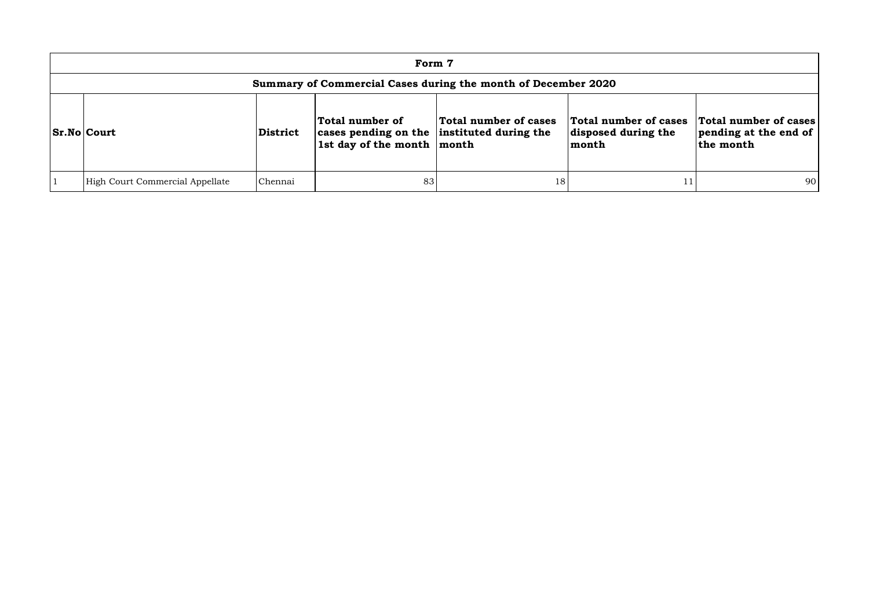|                                                               | Form 7                          |                 |                                                                                             |                       |                                                       |                                                             |  |  |  |  |
|---------------------------------------------------------------|---------------------------------|-----------------|---------------------------------------------------------------------------------------------|-----------------------|-------------------------------------------------------|-------------------------------------------------------------|--|--|--|--|
| Summary of Commercial Cases during the month of December 2020 |                                 |                 |                                                                                             |                       |                                                       |                                                             |  |  |  |  |
|                                                               | <b>Sr.No Court</b>              | <b>District</b> | Total number of<br>cases pending on the instituted during the<br>1st day of the month month | Total number of cases | Total number of cases<br>disposed during the<br>month | Total number of cases<br>pending at the end of<br>the month |  |  |  |  |
|                                                               | High Court Commercial Appellate | Chennai         | 83                                                                                          | 18                    |                                                       | 90                                                          |  |  |  |  |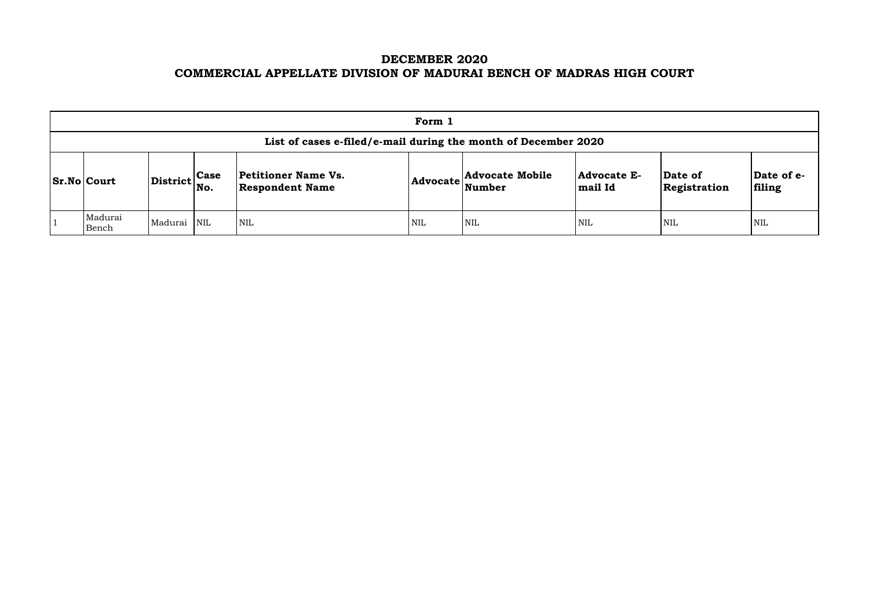# **DECEMBER 2020 COMMERCIAL APPELLATE DIVISION OF MADURAI BENCH OF MADRAS HIGH COURT**

| Form 1                                                         |                                                           |  |                                                      |     |                                                            |                               |                         |                     |  |  |  |
|----------------------------------------------------------------|-----------------------------------------------------------|--|------------------------------------------------------|-----|------------------------------------------------------------|-------------------------------|-------------------------|---------------------|--|--|--|
| List of cases e-filed/e-mail during the month of December 2020 |                                                           |  |                                                      |     |                                                            |                               |                         |                     |  |  |  |
| <b>Sr.No Court</b>                                             | $\left \text{District}\right _{\text{No.}}^{\text{Case}}$ |  | <b>Petitioner Name Vs.</b><br><b>Respondent Name</b> |     | <b>Advocate Mobile</b><br>$ {\bf Advocate} \text{Number} $ | <b>Advocate E-</b><br>mail Id | Date of<br>Registration | $ {\bf Da}$<br>fili |  |  |  |
| Madurai<br>Bench                                               | Madurai NIL                                               |  | <b>NIL</b>                                           | NIL | NIL                                                        | <b>NIL</b>                    | <b>NIL</b>              | NIL                 |  |  |  |

| Date of<br>Registration | Date of e-<br>filing |
|-------------------------|----------------------|
| NIL                     | NH.                  |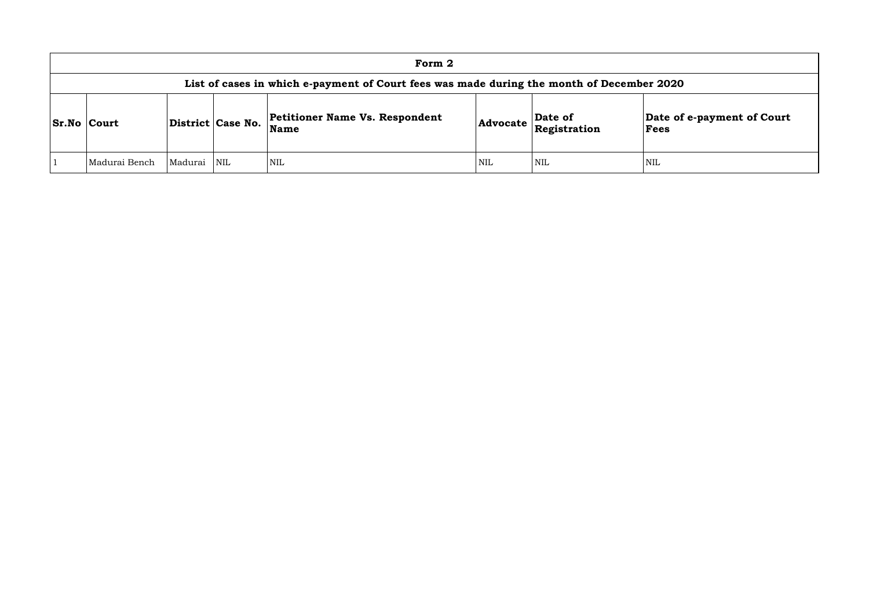|                    | Form 2                                                                                    |         |                         |                                               |            |                         |                        |  |  |  |  |  |  |
|--------------------|-------------------------------------------------------------------------------------------|---------|-------------------------|-----------------------------------------------|------------|-------------------------|------------------------|--|--|--|--|--|--|
|                    | List of cases in which e-payment of Court fees was made during the month of December 2020 |         |                         |                                               |            |                         |                        |  |  |  |  |  |  |
| <b>Sr.No Court</b> |                                                                                           |         | District Case No.       | <b>Petitioner Name Vs. Respondent</b><br>Name | Advocate   | Date of<br>Registration | Date of<br><b>Fees</b> |  |  |  |  |  |  |
|                    | Madurai Bench                                                                             | Madurai | $\overline{\text{NIL}}$ | NIL                                           | <b>NIL</b> | <b>NIL</b>              | NIL                    |  |  |  |  |  |  |

## **Date of e-payment of Court Fees**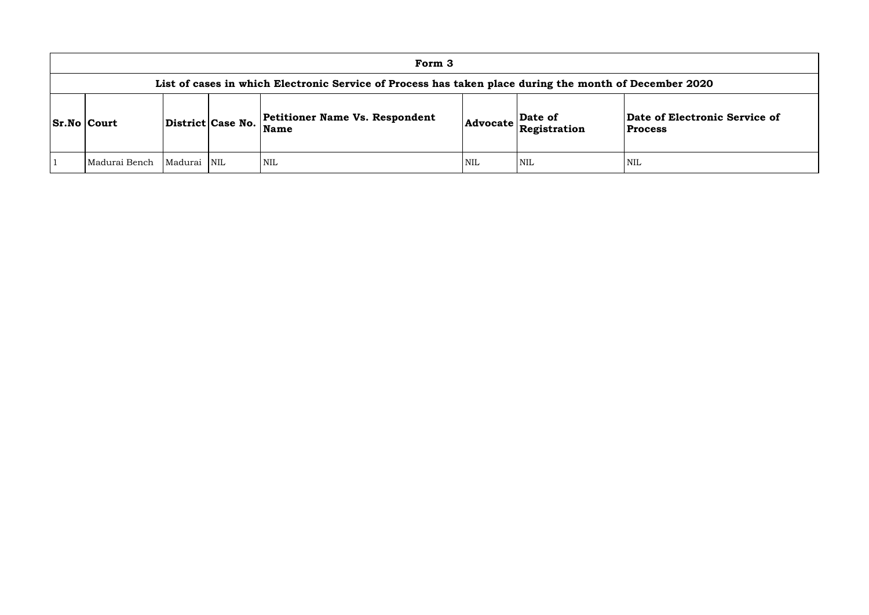### **of Electronic Service of Process**

|                    |                                                                                                        |             |                   | Form 3                                               |     |                                                                            |                                    |  |  |  |  |
|--------------------|--------------------------------------------------------------------------------------------------------|-------------|-------------------|------------------------------------------------------|-----|----------------------------------------------------------------------------|------------------------------------|--|--|--|--|
|                    | List of cases in which Electronic Service of Process has taken place during the month of December 2020 |             |                   |                                                      |     |                                                                            |                                    |  |  |  |  |
| <b>Sr.No Court</b> |                                                                                                        |             | District Case No. | <b>Petitioner Name Vs. Respondent</b><br><b>Name</b> |     | Date of<br>$ {\bf Advocate}\left \stackrel{\text{def}}{\text{Res}}\right $ | Date of Electron<br><b>Process</b> |  |  |  |  |
|                    | Madurai Bench                                                                                          | Madurai NIL |                   | NIL <sup>1</sup>                                     | NIL | NIL                                                                        | NIL                                |  |  |  |  |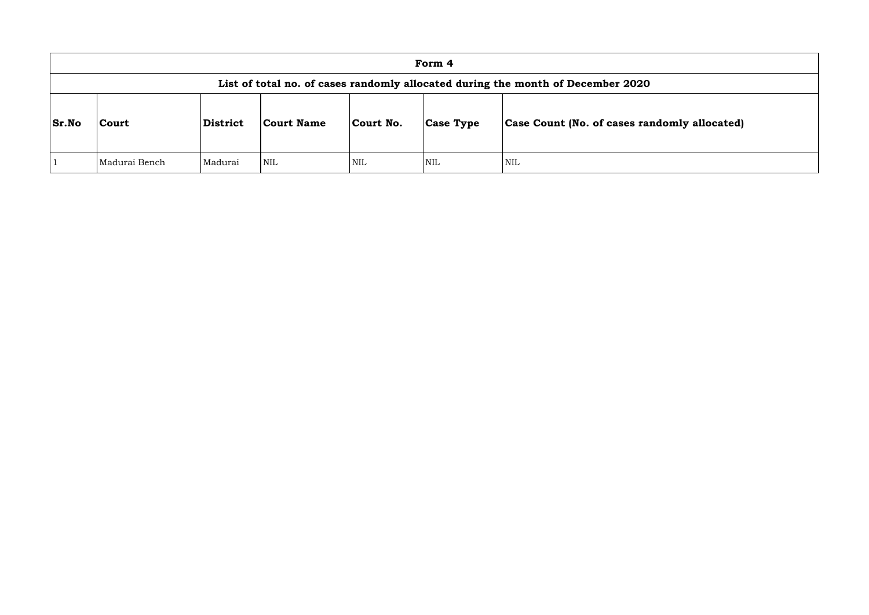|              |               |          |            |            | Form 4           |                                                                                 |
|--------------|---------------|----------|------------|------------|------------------|---------------------------------------------------------------------------------|
|              |               |          |            |            |                  | List of total no. of cases randomly allocated during the month of December 2020 |
| <b>Sr.No</b> | <b>Court</b>  | District | Court Name | Court No.  | <b>Case Type</b> | <b>Case Count (No. of cases rand</b>                                            |
|              | Madurai Bench | Madurai  | <b>NIL</b> | <b>NIL</b> | <b>NIL</b>       | NIL                                                                             |

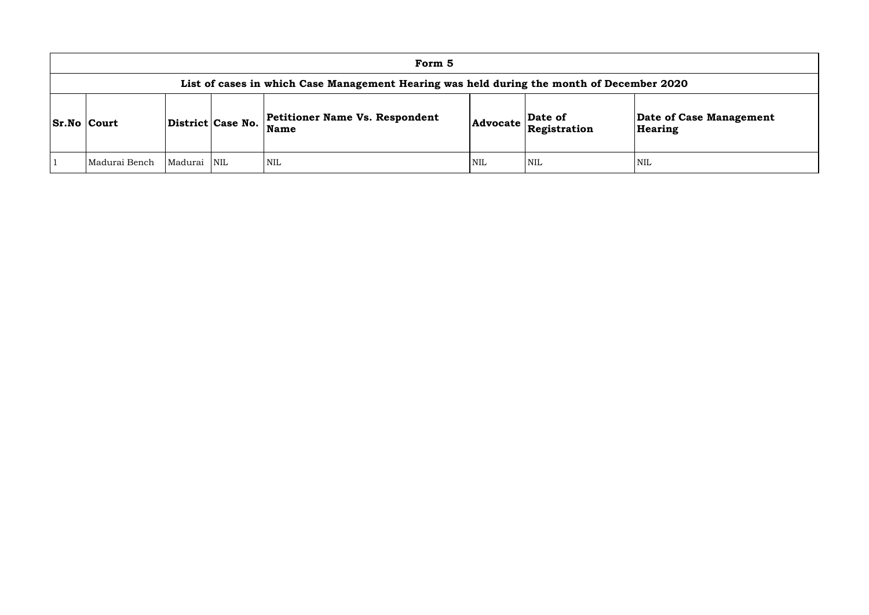|                                                                                           |         |                   | Form 5                                               |            |                                              |                      |  |  |  |
|-------------------------------------------------------------------------------------------|---------|-------------------|------------------------------------------------------|------------|----------------------------------------------|----------------------|--|--|--|
| List of cases in which Case Management Hearing was held during the month of December 2020 |         |                   |                                                      |            |                                              |                      |  |  |  |
| <b>Sr.No Court</b>                                                                        |         | District Case No. | <b>Petitioner Name Vs. Respondent</b><br><b>Name</b> |            | Date of<br>$ {\bf Advocate}\> $ Registration | Date of C<br>Hearing |  |  |  |
| Madurai Bench                                                                             | Madurai | <b>NIL</b>        | NIL                                                  | <b>NIL</b> | <b>NIL</b>                                   | <b>NIL</b>           |  |  |  |

**e of Case Management** ring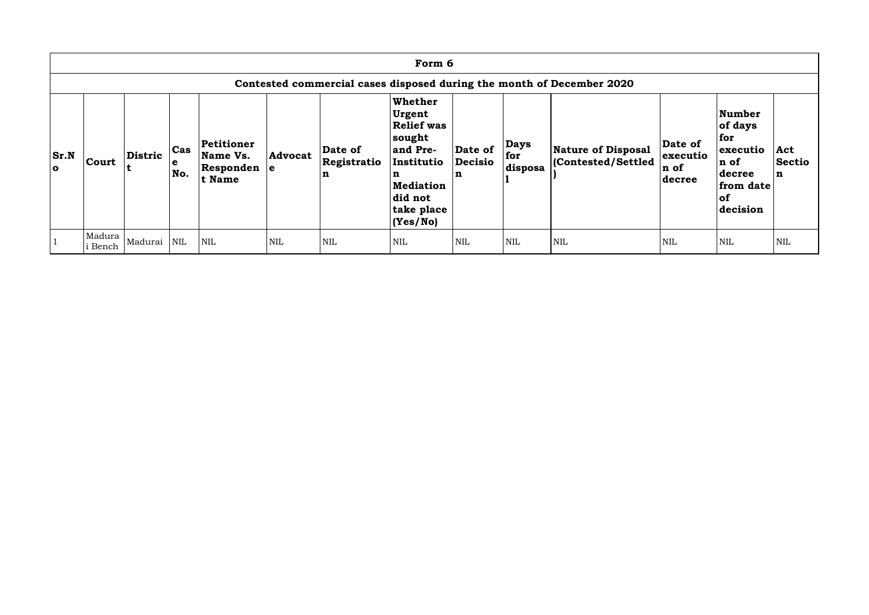|                    | Form 6                                                                |         |                 |                                                         |                |                                       |                                                                                                                                          |                         |                               |                                                |                                       |                                                                                        |                                     |
|--------------------|-----------------------------------------------------------------------|---------|-----------------|---------------------------------------------------------|----------------|---------------------------------------|------------------------------------------------------------------------------------------------------------------------------------------|-------------------------|-------------------------------|------------------------------------------------|---------------------------------------|----------------------------------------------------------------------------------------|-------------------------------------|
|                    | Contested commercial cases disposed during the month of December 2020 |         |                 |                                                         |                |                                       |                                                                                                                                          |                         |                               |                                                |                                       |                                                                                        |                                     |
| <b>Sr.N</b><br>l o | Court                                                                 | Distric | Cas<br>e<br>No. | Petitioner<br>Name Vs.<br>$ $ Responden $ e $<br>t Name | <b>Advocat</b> | Date of<br>Registratio<br>$\mathbf n$ | Whether<br>Urgent<br><b>Relief was</b><br>sought<br>and Pre-<br>Institutio<br>n<br><b>Mediation</b><br>did not<br>take place<br>(Yes/No) | Date of<br>Decisio<br>n | <b>Days</b><br>for<br>disposa | <b>Nature of Disposal</b><br>Contested/Settled | Date of<br>executio<br>n of<br>decree | Number<br>of days<br>for<br>executio<br>n of<br>decree<br>from date<br> of<br>decision | Act<br><b>Sectio</b><br>$\mathbf n$ |
|                    | Madura<br>i Bench                                                     | Madurai | $\mbox{NIL}$    | <b>NIL</b>                                              | <b>NIL</b>     | <b>NIL</b>                            | <b>NIL</b>                                                                                                                               | <b>NIL</b>              | <b>NIL</b>                    | <b>NIL</b>                                     | <b>NIL</b>                            | NIL                                                                                    | <b>NIL</b>                          |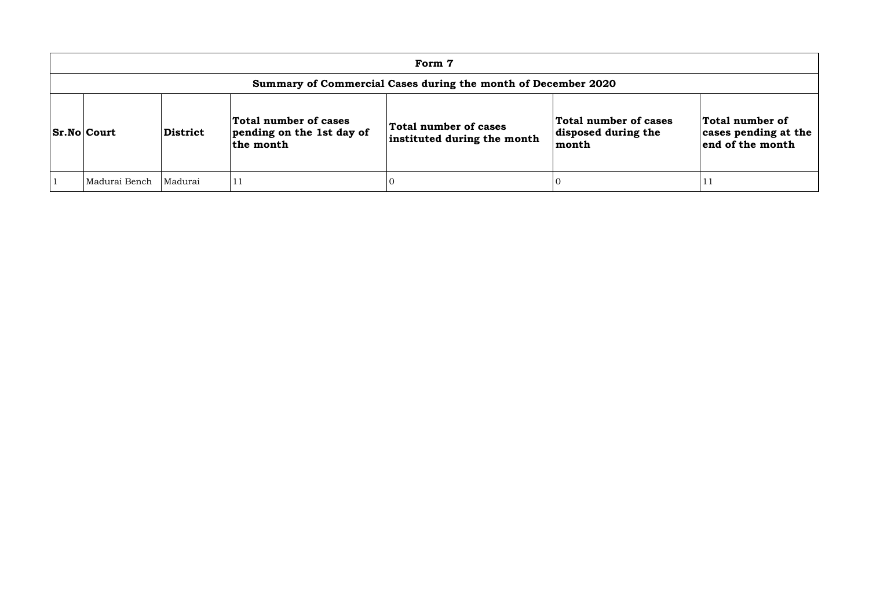| Form 7                                                        |          |                                                                 |                                                      |                                                       |                                                             |  |  |  |  |
|---------------------------------------------------------------|----------|-----------------------------------------------------------------|------------------------------------------------------|-------------------------------------------------------|-------------------------------------------------------------|--|--|--|--|
| Summary of Commercial Cases during the month of December 2020 |          |                                                                 |                                                      |                                                       |                                                             |  |  |  |  |
| <b>Sr.No Court</b>                                            | District | Total number of cases<br>pending on the 1st day of<br>the month | Total number of cases<br>instituted during the month | Total number of cases<br>disposed during the<br>month | Total number of<br>cases pending at the<br>end of the month |  |  |  |  |
| Madurai Bench                                                 | Madurai  | 11                                                              |                                                      |                                                       | T T                                                         |  |  |  |  |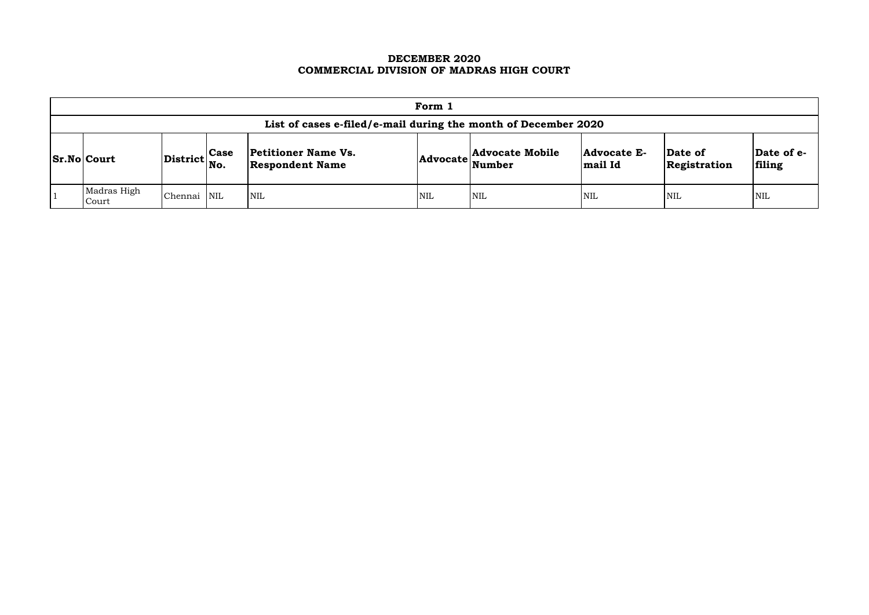## **DECEMBER 2020 COMMERCIAL DIVISION OF MADRAS HIGH COURT**

| Form 1                                                         |                                     |             |                                                      |     |                          |                               |                         |                      |  |
|----------------------------------------------------------------|-------------------------------------|-------------|------------------------------------------------------|-----|--------------------------|-------------------------------|-------------------------|----------------------|--|
| List of cases e-filed/e-mail during the month of December 2020 |                                     |             |                                                      |     |                          |                               |                         |                      |  |
| $ Sr.No $ Court                                                | $ {\rm District} \rangle_{\rm No.}$ | <b>Case</b> | <b>Petitioner Name Vs.</b><br><b>Respondent Name</b> |     | Advocate Advocate Mobile | <b>Advocate E-</b><br>mail Id | Date of<br>Registration | Date of e-<br>filing |  |
| Madras High<br>Court                                           | <b>Chennai</b>                      | <b>NIL</b>  | <b>NIL</b>                                           | NIL | <b>NIL</b>               | <b>NIL</b>                    | <b>NIL</b>              | <b>NIL</b>           |  |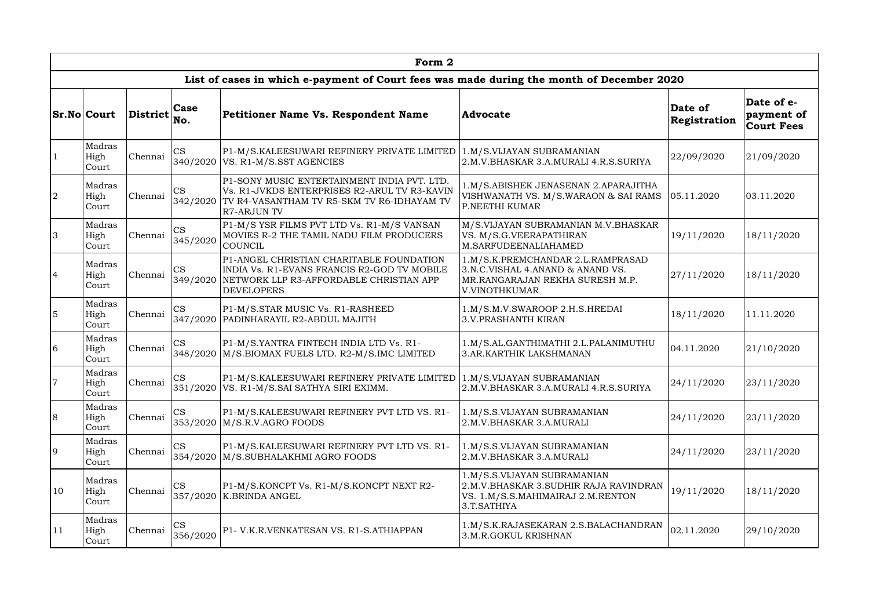|                | Form 2                  |                 |                       |                                                                                                                                                          |                                                                                                                           |                         |                                               |  |  |  |  |  |
|----------------|-------------------------|-----------------|-----------------------|----------------------------------------------------------------------------------------------------------------------------------------------------------|---------------------------------------------------------------------------------------------------------------------------|-------------------------|-----------------------------------------------|--|--|--|--|--|
|                |                         |                 |                       | List of cases in which e-payment of Court fees was made during the month of December 2020                                                                |                                                                                                                           |                         |                                               |  |  |  |  |  |
|                | <b>Sr.No Court</b>      | <b>District</b> | Case<br>No.           | Petitioner Name Vs. Respondent Name                                                                                                                      | <b>Advocate</b>                                                                                                           | Date of<br>Registration | Date of e-<br>payment of<br><b>Court Fees</b> |  |  |  |  |  |
| $\mathbf{1}$   | Madras<br>High<br>Court | Chennai         | <b>CS</b><br>340/2020 | P1-M/S.KALEESUWARI REFINERY PRIVATE LIMITED   1.M/S.VIJAYAN SUBRAMANIAN<br>VS. R1-M/S.SST AGENCIES                                                       | 2.M.V.BHASKAR 3.A.MURALI 4.R.S.SURIYA                                                                                     | 22/09/2020              | 21/09/2020                                    |  |  |  |  |  |
| 2              | Madras<br>High<br>Court | Chennai         | <b>CS</b><br>342/2020 | P1-SONY MUSIC ENTERTAINMENT INDIA PVT. LTD.<br>Vs. R1-JVKDS ENTERPRISES R2-ARUL TV R3-KAVIN<br>TV R4-VASANTHAM TV R5-SKM TV R6-IDHAYAM TV<br>R7-ARJUN TV | 1.M/S.ABISHEK JENASENAN 2.APARAJITHA<br>VISHWANATH VS. M/S.WARAON & SAI RAMS<br><b>P.NEETHI KUMAR</b>                     | 05.11.2020              | 03.11.2020                                    |  |  |  |  |  |
| $\overline{3}$ | Madras<br>High<br>Court | Chennai         | <b>CS</b><br>345/2020 | P1-M/S YSR FILMS PVT LTD Vs. R1-M/S VANSAN<br>MOVIES R-2 THE TAMIL NADU FILM PRODUCERS<br>COUNCIL                                                        | M/S.VIJAYAN SUBRAMANIAN M.V.BHASKAR<br>VS. M/S.G.VEERAPATHIRAN<br>M.SARFUDEENALIAHAMED                                    | 19/11/2020              | 18/11/2020                                    |  |  |  |  |  |
| $\overline{4}$ | Madras<br>High<br>Court | Chennai         | <b>CS</b><br>349/2020 | P1-ANGEL CHRISTIAN CHARITABLE FOUNDATION<br>INDIA Vs. R1-EVANS FRANCIS R2-GOD TV MOBILE<br>NETWORK LLP R3-AFFORDABLE CHRISTIAN APP<br><b>DEVELOPERS</b>  | 1.M/S.K.PREMCHANDAR 2.L.RAMPRASAD<br>3.N.C.VISHAL 4.ANAND & ANAND VS.<br>MR.RANGARAJAN REKHA SURESH M.P.<br>V.VINOTHKUMAR | 27/11/2020              | 18/11/2020                                    |  |  |  |  |  |
| $\overline{5}$ | Madras<br>High<br>Court | Chennai         | <b>CS</b><br>347/2020 | P1-M/S.STAR MUSIC Vs. R1-RASHEED<br>PADINHARAYIL R2-ABDUL MAJITH                                                                                         | 1.M/S.M.V.SWAROOP 2.H.S.HREDAI<br><b>3.V.PRASHANTH KIRAN</b>                                                              | 18/11/2020              | 11.11.2020                                    |  |  |  |  |  |
| 6              | Madras<br>High<br>Court | Chennai         | <b>CS</b><br>348/2020 | P1-M/S.YANTRA FINTECH INDIA LTD Vs. R1-<br>M/S.BIOMAX FUELS LTD. R2-M/S.IMC LIMITED                                                                      | 1.M/S.AL.GANTHIMATHI 2.L.PALANIMUTHU<br>3.AR.KARTHIK LAKSHMANAN                                                           | 04.11.2020              | 21/10/2020                                    |  |  |  |  |  |
| $\overline{7}$ | Madras<br>High<br>Court | Chennai         | <b>CS</b><br>351/2020 | P1-M/S.KALEESUWARI REFINERY PRIVATE LIMITED   1.M/S.VIJAYAN SUBRAMANIAN<br>VS. R1-M/S.SAI SATHYA SIRI EXIMM.                                             | 2.M.V.BHASKAR 3.A.MURALI 4.R.S.SURIYA                                                                                     | 24/11/2020              | 23/11/2020                                    |  |  |  |  |  |
| 8              | Madras<br>High<br>Court | Chennai         | <b>CS</b><br>353/2020 | P1-M/S.KALEESUWARI REFINERY PVT LTD VS. R1-<br>M/S.R.V.AGRO FOODS                                                                                        | 1.M/S.S.VIJAYAN SUBRAMANIAN<br>2.M.V.BHASKAR 3.A.MURALI                                                                   | 24/11/2020              | 23/11/2020                                    |  |  |  |  |  |
| $\overline{9}$ | Madras<br>High<br>Court | Chennai         | <b>CS</b><br>354/2020 | P1-M/S.KALEESUWARI REFINERY PVT LTD VS. R1-<br>M/S.SUBHALAKHMI AGRO FOODS                                                                                | 1.M/S.S.VIJAYAN SUBRAMANIAN<br>2.M.V.BHASKAR 3.A.MURALI                                                                   | 24/11/2020              | 23/11/2020                                    |  |  |  |  |  |
| 10             | Madras<br>High<br>Court | Chennai         | <b>CS</b><br>357/2020 | P1-M/S.KONCPT Vs. R1-M/S.KONCPT NEXT R2-<br><b>K.BRINDA ANGEL</b>                                                                                        | 1.M/S.S.VIJAYAN SUBRAMANIAN<br>2.M.V.BHASKAR 3.SUDHIR RAJA RAVINDRAN<br>VS. 1.M/S.S.MAHIMAIRAJ 2.M.RENTON<br>3.T.SATHIYA  | 19/11/2020              | 18/11/2020                                    |  |  |  |  |  |
| 11             | Madras<br>High<br>Court | Chennai         | <b>CS</b><br>356/2020 | P1- V.K.R.VENKATESAN VS. R1-S.ATHIAPPAN                                                                                                                  | 1.M/S.K.RAJASEKARAN 2.S.BALACHANDRAN<br>3.M.R.GOKUL KRISHNAN                                                              | 02.11.2020              | 29/10/2020                                    |  |  |  |  |  |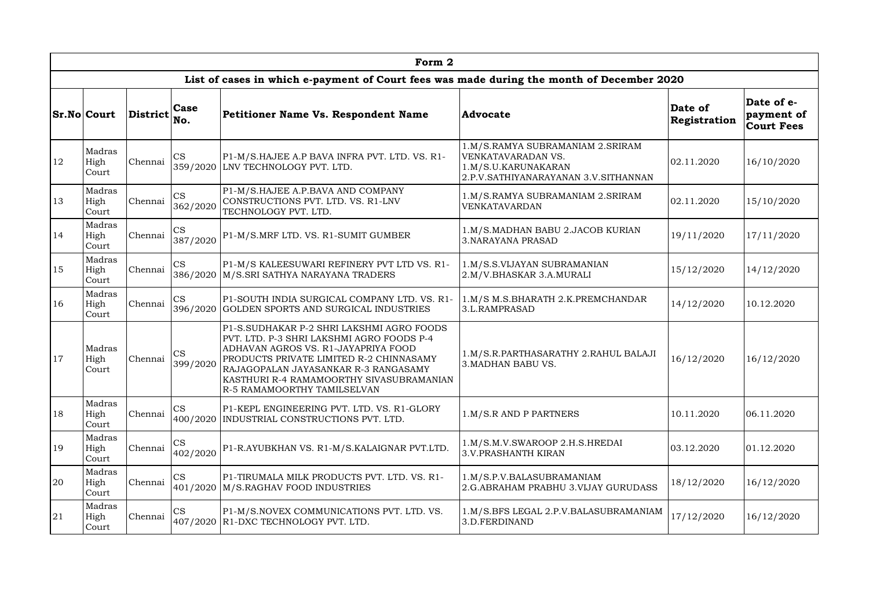|               | Form 2                  |                           |                       |                                                                                                                                                                                                                                                                                             |                                                                                                                       |                         |                                               |  |  |  |  |
|---------------|-------------------------|---------------------------|-----------------------|---------------------------------------------------------------------------------------------------------------------------------------------------------------------------------------------------------------------------------------------------------------------------------------------|-----------------------------------------------------------------------------------------------------------------------|-------------------------|-----------------------------------------------|--|--|--|--|
|               |                         |                           |                       | List of cases in which e-payment of Court fees was made during the month of December 2020                                                                                                                                                                                                   |                                                                                                                       |                         |                                               |  |  |  |  |
|               | <b>Sr.No Court</b>      | $ Distriet _{No.}^{\sim}$ | <b>Case</b>           | Petitioner Name Vs. Respondent Name                                                                                                                                                                                                                                                         | Advocate                                                                                                              | Date of<br>Registration | Date of e-<br>payment of<br><b>Court Fees</b> |  |  |  |  |
| 12            | Madras<br>High<br>Court | Chennai                   | <b>CS</b><br>359/2020 | P1-M/S.HAJEE A.P BAVA INFRA PVT. LTD. VS. R1-<br>LNV TECHNOLOGY PVT. LTD.                                                                                                                                                                                                                   | 1.M/S.RAMYA SUBRAMANIAM 2.SRIRAM<br>VENKATAVARADAN VS.<br>1.M/S.U.KARUNAKARAN<br>2.P.V.SATHIYANARAYANAN 3.V.SITHANNAN | 02.11.2020              | 16/10/2020                                    |  |  |  |  |
| 13            | Madras<br>High<br>Court | Chennai                   | <b>CS</b><br>362/2020 | P1-M/S.HAJEE A.P.BAVA AND COMPANY<br>CONSTRUCTIONS PVT. LTD. VS. R1-LNV<br>TECHNOLOGY PVT. LTD.                                                                                                                                                                                             | 1.M/S.RAMYA SUBRAMANIAM 2.SRIRAM<br>VENKATAVARDAN                                                                     | 02.11.2020              | 15/10/2020                                    |  |  |  |  |
| 14            | Madras<br>High<br>Court | Chennai                   | <b>CS</b><br>387/2020 | P1-M/S.MRF LTD. VS. R1-SUMIT GUMBER                                                                                                                                                                                                                                                         | 1.M/S.MADHAN BABU 2.JACOB KURIAN<br><b>3. NARAYANA PRASAD</b>                                                         | 19/11/2020              | 17/11/2020                                    |  |  |  |  |
| <sup>15</sup> | Madras<br>High<br>Court | Chennai                   | <b>CS</b>             | P1-M/S KALEESUWARI REFINERY PVT LTD VS. R1-<br>386/2020   M/S.SRI SATHYA NARAYANA TRADERS                                                                                                                                                                                                   | 1.M/S.S.VIJAYAN SUBRAMANIAN<br>2.M/V.BHASKAR 3.A.MURALI                                                               | 15/12/2020              | 14/12/2020                                    |  |  |  |  |
| <sup>16</sup> | Madras<br>High<br>Court | Chennai                   | <b>CS</b><br>396/2020 | P1-SOUTH INDIA SURGICAL COMPANY LTD. VS. R1-<br>GOLDEN SPORTS AND SURGICAL INDUSTRIES                                                                                                                                                                                                       | 1.M/S M.S.BHARATH 2.K.PREMCHANDAR<br>3.L.RAMPRASAD                                                                    | 14/12/2020              | 10.12.2020                                    |  |  |  |  |
| 17            | Madras<br>High<br>Court | Chennai                   | <b>CS</b><br>399/2020 | P1-S.SUDHAKAR P-2 SHRI LAKSHMI AGRO FOODS<br>PVT. LTD. P-3 SHRI LAKSHMI AGRO FOODS P-4<br>ADHAVAN AGROS VS. R1-JAYAPRIYA FOOD<br>PRODUCTS PRIVATE LIMITED R-2 CHINNASAMY<br>RAJAGOPALAN JAYASANKAR R-3 RANGASAMY<br>KASTHURI R-4 RAMAMOORTHY SIVASUBRAMANIAN<br>R-5 RAMAMOORTHY TAMILSELVAN | 1.M/S.R.PARTHASARATHY 2.RAHUL BALAJI<br>3. MADHAN BABU VS.                                                            | 16/12/2020              | 16/12/2020                                    |  |  |  |  |
| 18            | Madras<br>High<br>Court | Chennai                   | <b>CS</b>             | P1-KEPL ENGINEERING PVT. LTD. VS. R1-GLORY<br>400/2020 INDUSTRIAL CONSTRUCTIONS PVT. LTD.                                                                                                                                                                                                   | 1.M/S.R AND P PARTNERS                                                                                                | 10.11.2020              | 06.11.2020                                    |  |  |  |  |
| <sup>19</sup> | Madras<br>High<br>Court | Chennai                   | <b>CS</b><br>402/2020 | P1-R.AYUBKHAN VS. R1-M/S.KALAIGNAR PVT.LTD.                                                                                                                                                                                                                                                 | 1.M/S.M.V.SWAROOP 2.H.S.HREDAI<br><b>3.V.PRASHANTH KIRAN</b>                                                          | 03.12.2020              | 01.12.2020                                    |  |  |  |  |
| 20            | Madras<br>High<br>Court | Chennai                   | <b>CS</b>             | P1-TIRUMALA MILK PRODUCTS PVT. LTD. VS. R1-<br>401/2020 M/S.RAGHAV FOOD INDUSTRIES                                                                                                                                                                                                          | 1.M/S.P.V.BALASUBRAMANIAM<br>2.G. ABRAHAM PRABHU 3. VIJAY GURUDASS                                                    | 18/12/2020              | 16/12/2020                                    |  |  |  |  |
| 21            | Madras<br>High<br>Court | Chennai                   | <b>CS</b>             | P1-M/S.NOVEX COMMUNICATIONS PVT. LTD. VS.<br>407/2020 R1-DXC TECHNOLOGY PVT. LTD.                                                                                                                                                                                                           | 1.M/S.BFS LEGAL 2.P.V.BALASUBRAMANIAM<br>3.D.FERDINAND                                                                | 17/12/2020              | 16/12/2020                                    |  |  |  |  |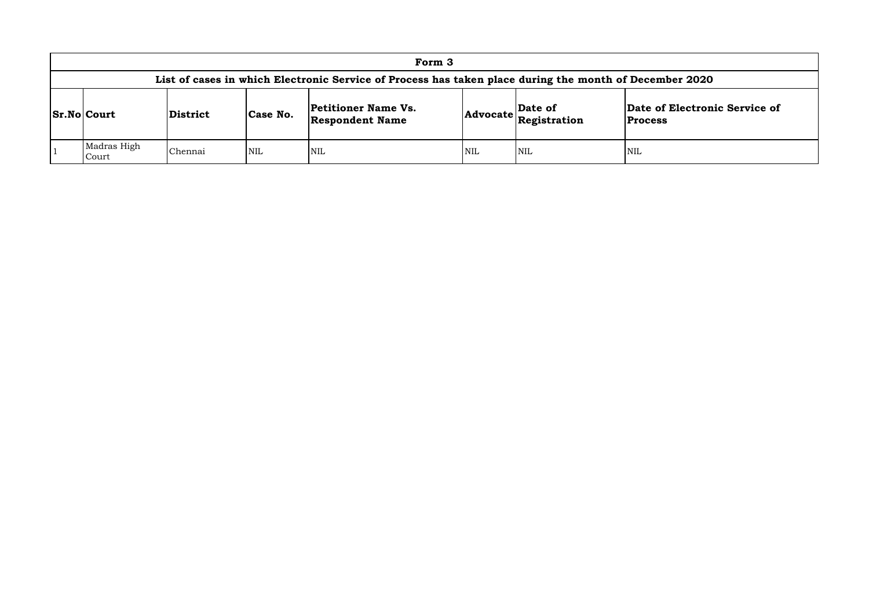|                      |          |            | Form 3                                                                                         |            |                                                                                                            |                         |
|----------------------|----------|------------|------------------------------------------------------------------------------------------------|------------|------------------------------------------------------------------------------------------------------------|-------------------------|
|                      |          |            | List of cases in which Electronic Service of Process has taken place during the month of Decer |            |                                                                                                            |                         |
| <b>Sr.No Court</b>   | District | Case No.   | <b>Petitioner Name Vs.</b><br><b>Respondent Name</b>                                           |            | $\begin{array}{ c c }\n\hline \text{Advocate} & \text{Date of} \\ \hline \text{Resistration}\n\end{array}$ | Date o<br><b>Proces</b> |
| Madras High<br>Court | Chennai  | <b>NIL</b> | <b>NIL</b>                                                                                     | <b>NIL</b> | <b>NIL</b>                                                                                                 | <b>NIL</b>              |

## **List of Cream of December 2020**

## **of Electronic Service of**

**Process**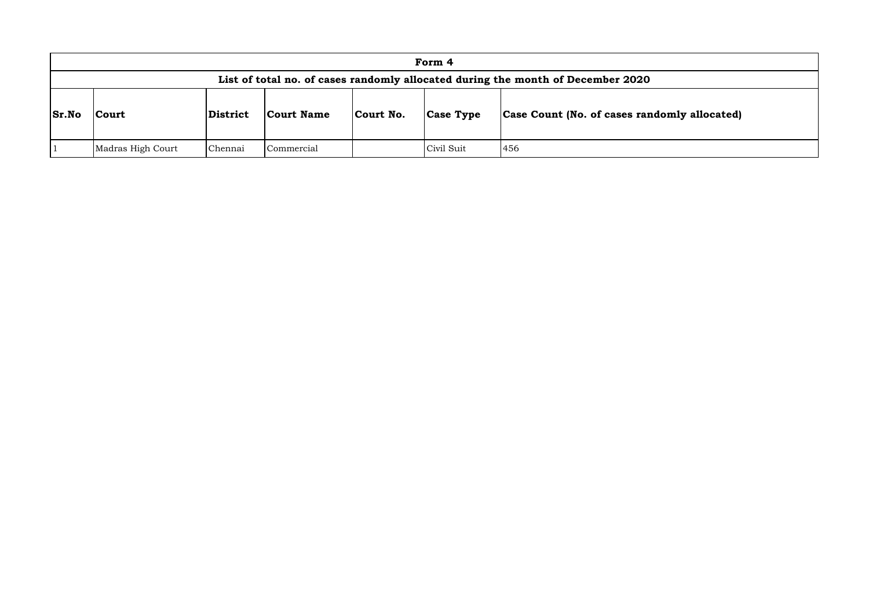|                                                                                 |                   |          |                   |           | Form 4           |                                      |  |  |
|---------------------------------------------------------------------------------|-------------------|----------|-------------------|-----------|------------------|--------------------------------------|--|--|
| List of total no. of cases randomly allocated during the month of December 2020 |                   |          |                   |           |                  |                                      |  |  |
| Sr.No                                                                           | Court             | District | <b>Court Name</b> | Court No. | <b>Case Type</b> | <b>Case Count (No. of cases rand</b> |  |  |
|                                                                                 | Madras High Court | Chennai  | Commercial        |           | Civil Suit       | 456                                  |  |  |

# **domly allocated)**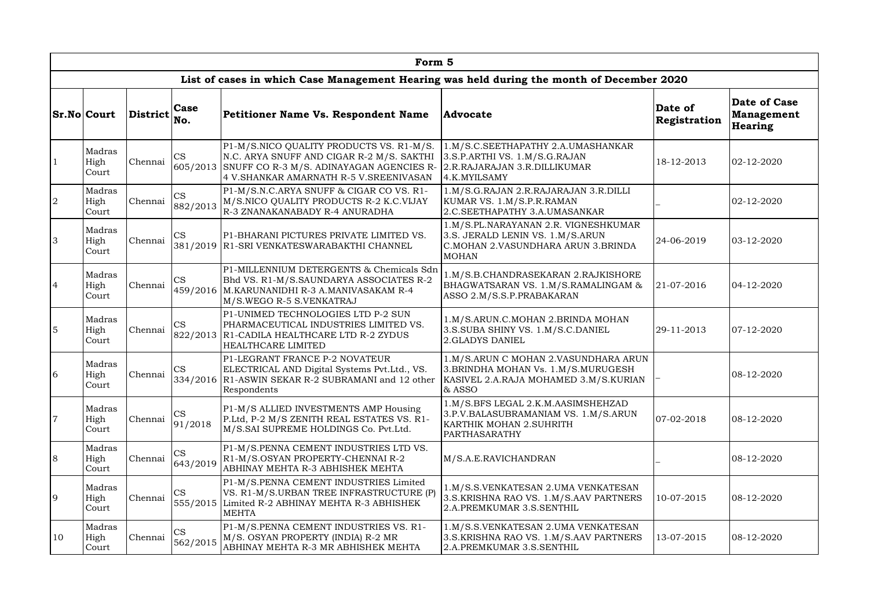|                | Form 5                  |                 |                       |                                                                                                                                                                             |                                                                                                                                 |                         |                                                            |  |  |  |  |  |
|----------------|-------------------------|-----------------|-----------------------|-----------------------------------------------------------------------------------------------------------------------------------------------------------------------------|---------------------------------------------------------------------------------------------------------------------------------|-------------------------|------------------------------------------------------------|--|--|--|--|--|
|                |                         |                 |                       | List of cases in which Case Management Hearing was held during the month of December 2020                                                                                   |                                                                                                                                 |                         |                                                            |  |  |  |  |  |
|                | <b>Sr.No Court</b>      | <b>District</b> | Case<br>No.           | Petitioner Name Vs. Respondent Name                                                                                                                                         | <b>Advocate</b>                                                                                                                 | Date of<br>Registration | <b>Date of Case</b><br><b>Management</b><br><b>Hearing</b> |  |  |  |  |  |
| $\mathbf{1}$   | Madras<br>High<br>Court | Chennai         | CS<br>605/2013        | P1-M/S.NICO QUALITY PRODUCTS VS. R1-M/S.<br>N.C. ARYA SNUFF AND CIGAR R-2 M/S. SAKTHI<br>SNUFF CO R-3 M/S. ADINAYAGAN AGENCIES R-<br>4 V.SHANKAR AMARNATH R-5 V.SREENIVASAN | 1.M/S.C.SEETHAPATHY 2.A.UMASHANKAR<br>3.S.P.ARTHI VS. 1.M/S.G.RAJAN<br>2.R.RAJARAJAN 3.R.DILLIKUMAR<br>4.K.MYILSAMY             | 18-12-2013              | 02-12-2020                                                 |  |  |  |  |  |
| $\overline{2}$ | Madras<br>High<br>Court | Chennai         | <b>CS</b><br>882/2013 | P1-M/S.N.C.ARYA SNUFF & CIGAR CO VS. R1-<br>M/S.NICO QUALITY PRODUCTS R-2 K.C.VIJAY<br>R-3 ZNANAKANABADY R-4 ANURADHA                                                       | 1.M/S.G.RAJAN 2.R.RAJARAJAN 3.R.DILLI<br>KUMAR VS. 1.M/S.P.R.RAMAN<br>2.C.SEETHAPATHY 3.A.UMASANKAR                             |                         | 02-12-2020                                                 |  |  |  |  |  |
| 3              | Madras<br>High<br>Court | Chennai         | <b>CS</b>             | P1-BHARANI PICTURES PRIVATE LIMITED VS.<br>381/2019   R1-SRI VENKATESWARABAKTHI CHANNEL                                                                                     | 1.M/S.PL.NARAYANAN 2.R. VIGNESHKUMAR<br>3.S. JERALD LENIN VS. 1.M/S.ARUN<br>C.MOHAN 2.VASUNDHARA ARUN 3.BRINDA<br><b>MOHAN</b>  | 24-06-2019              | 03-12-2020                                                 |  |  |  |  |  |
| $\overline{4}$ | Madras<br>High<br>Court | Chennai         | <b>CS</b>             | P1-MILLENNIUM DETERGENTS & Chemicals Sdn<br>Bhd VS. R1-M/S.SAUNDARYA ASSOCIATES R-2<br>459/2016 M.KARUNANIDHI R-3 A.MANIVASAKAM R-4<br>M/S.WEGO R-5 S.VENKATRAJ             | 1.M/S.B.CHANDRASEKARAN 2.RAJKISHORE<br>BHAGWATSARAN VS. 1.M/S.RAMALINGAM &<br>ASSO 2.M/S.S.P.PRABAKARAN                         | $ 21-07-2016$           | 04-12-2020                                                 |  |  |  |  |  |
| 5              | Madras<br>High<br>Court | Chennai         | <b>CS</b><br>822/2013 | P1-UNIMED TECHNOLOGIES LTD P-2 SUN<br>PHARMACEUTICAL INDUSTRIES LIMITED VS.<br>R1-CADILA HEALTHCARE LTD R-2 ZYDUS<br>HEALTHCARE LIMITED                                     | 1.M/S.ARUN.C.MOHAN 2.BRINDA MOHAN<br>3.S.SUBA SHINY VS. 1.M/S.C.DANIEL<br>2.GLADYS DANIEL                                       | 29-11-2013              | 07-12-2020                                                 |  |  |  |  |  |
| 6              | Madras<br>High<br>Court | Chennai         | <b>CS</b>             | P1-LEGRANT FRANCE P-2 NOVATEUR<br>ELECTRICAL AND Digital Systems Pvt.Ltd., VS.<br>334/2016 R1-ASWIN SEKAR R-2 SUBRAMANI and 12 other<br>Respondents                         | 1.M/S.ARUN C MOHAN 2.VASUNDHARA ARUN<br>3. BRINDHA MOHAN Vs. 1.M/S. MURUGESH<br>KASIVEL 2.A.RAJA MOHAMED 3.M/S.KURIAN<br>& ASSO |                         | 08-12-2020                                                 |  |  |  |  |  |
| $\overline{7}$ | Madras<br>High<br>Court | Chennai         | <b>CS</b><br>91/2018  | P1-M/S ALLIED INVESTMENTS AMP Housing<br>P.Ltd, P-2 M/S ZENITH REAL ESTATES VS. R1-<br>M/S.SAI SUPREME HOLDINGS Co. Pvt.Ltd.                                                | 1.M/S.BFS LEGAL 2.K.M.AASIMSHEHZAD<br>3.P.V.BALASUBRAMANIAM VS. 1.M/S.ARUN<br>KARTHIK MOHAN 2.SUHRITH<br>PARTHASARATHY          | $ 07-02-2018 $          | 08-12-2020                                                 |  |  |  |  |  |
| 8              | Madras<br>High<br>Court | Chennai         | <b>CS</b><br>643/2019 | P1-M/S.PENNA CEMENT INDUSTRIES LTD VS.<br>R1-M/S.OSYAN PROPERTY-CHENNAI R-2<br>ABHINAY MEHTA R-3 ABHISHEK MEHTA                                                             | M/S.A.E.RAVICHANDRAN                                                                                                            |                         | 08-12-2020                                                 |  |  |  |  |  |
| 9              | Madras<br>High<br>Court | Chennai         | <b>CS</b>             | P1-M/S.PENNA CEMENT INDUSTRIES Limited<br>VS. R1-M/S.URBAN TREE INFRASTRUCTURE (P)<br>555/2015 Limited R-2 ABHINAY MEHTA R-3 ABHISHEK<br><b>MEHTA</b>                       | 1.M/S.S.VENKATESAN 2.UMA VENKATESAN<br>3.S.KRISHNA RAO VS. 1.M/S.AAV PARTNERS<br>2.A.PREMKUMAR 3.S.SENTHIL                      | 10-07-2015              | 08-12-2020                                                 |  |  |  |  |  |
| 10             | Madras<br>High<br>Court | Chennai         | <b>CS</b><br>562/2015 | P1-M/S.PENNA CEMENT INDUSTRIES VS. R1-<br>M/S. OSYAN PROPERTY (INDIA) R-2 MR<br>ABHINAY MEHTA R-3 MR ABHISHEK MEHTA                                                         | 1.M/S.S.VENKATESAN 2.UMA VENKATESAN<br>3.S.KRISHNA RAO VS. 1.M/S.AAV PARTNERS<br>2.A.PREMKUMAR 3.S.SENTHIL                      | 13-07-2015              | 08-12-2020                                                 |  |  |  |  |  |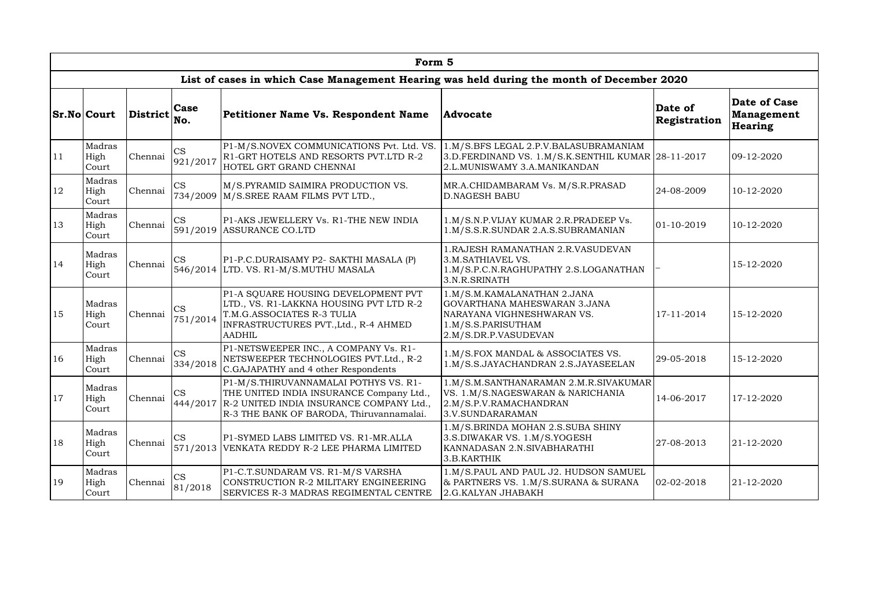|               |                         |                 |                           | Form 5                                                                                                                                                                             |                                                                                                                                         |                         |                                              |
|---------------|-------------------------|-----------------|---------------------------|------------------------------------------------------------------------------------------------------------------------------------------------------------------------------------|-----------------------------------------------------------------------------------------------------------------------------------------|-------------------------|----------------------------------------------|
|               |                         |                 |                           | List of cases in which Case Management Hearing was held during the month of December 2020                                                                                          |                                                                                                                                         |                         |                                              |
|               | <b>Sr.No Court</b>      | <b>District</b> | <b>Case</b><br>No.        | <b>Petitioner Name Vs. Respondent Name</b>                                                                                                                                         | <b>Advocate</b>                                                                                                                         | Date of<br>Registration | Date of Case<br><b>Management</b><br>Hearing |
| 11            | Madras<br>High<br>Court | Chennai         | CS<br>921/2017            | P1-M/S.NOVEX COMMUNICATIONS Pvt. Ltd. VS.<br>R1-GRT HOTELS AND RESORTS PVT.LTD R-2<br>HOTEL GRT GRAND CHENNAI                                                                      | 1.M/S.BFS LEGAL 2.P.V.BALASUBRAMANIAM<br>3.D.FERDINAND VS. 1.M/S.K.SENTHIL KUMAR 28-11-2017<br>2.L.MUNISWAMY 3.A.MANIKANDAN             |                         | 09-12-2020                                   |
| 12            | Madras<br>High<br>Court | Chennai         | <b>CS</b><br>734/2009     | M/S.PYRAMID SAIMIRA PRODUCTION VS.<br>M/S.SREE RAAM FILMS PVT LTD.,                                                                                                                | MR.A.CHIDAMBARAM Vs. M/S.R.PRASAD<br><b>D.NAGESH BABU</b>                                                                               | 24-08-2009              | 10-12-2020                                   |
| 13            | Madras<br>High<br>Court | Chennai         | <b>CS</b>                 | P1-AKS JEWELLERY Vs. R1-THE NEW INDIA<br>591/2019 ASSURANCE CO.LTD                                                                                                                 | 1.M/S.N.P.VIJAY KUMAR 2.R.PRADEEP Vs.<br>1.M/S.S.R.SUNDAR 2.A.S.SUBRAMANIAN                                                             | $ 01-10-2019 $          | 10-12-2020                                   |
| 14            | Madras<br>High<br>Court | Chennai         | <b>CS</b>                 | P1-P.C.DURAISAMY P2- SAKTHI MASALA (P)<br>546/2014 LTD. VS. R1-M/S.MUTHU MASALA                                                                                                    | 1. RAJESH RAMANATHAN 2. R. VASUDEVAN<br>3.M.SATHIAVEL VS.<br>1.M/S.P.C.N.RAGHUPATHY 2.S.LOGANATHAN<br>3.N.R.SRINATH                     |                         | 15-12-2020                                   |
| 15            | Madras<br>High<br>Court | Chennai         | <b>CS</b><br>751/2014     | P1-A SQUARE HOUSING DEVELOPMENT PVT<br>LTD., VS. R1-LAKKNA HOUSING PVT LTD R-2<br>T.M.G.ASSOCIATES R-3 TULIA<br>INFRASTRUCTURES PVT., Ltd., R-4 AHMED<br><b>AADHIL</b>             | 1.M/S.M.KAMALANATHAN 2.JANA<br>GOVARTHANA MAHESWARAN 3.JANA<br>NARAYANA VIGHNESHWARAN VS.<br>1.M/S.S.PARISUTHAM<br>2.M/S.DR.P.VASUDEVAN | 17-11-2014              | 15-12-2020                                   |
| <sup>16</sup> | Madras<br>High<br>Court | Chennai         | $\mathbf{CS}$<br>334/2018 | P1-NETSWEEPER INC., A COMPANY Vs. R1-<br>NETSWEEPER TECHNOLOGIES PVT.Ltd., R-2<br>C.GAJAPATHY and 4 other Respondents                                                              | 1.M/S.FOX MANDAL & ASSOCIATES VS.<br>1.M/S.S.JAYACHANDRAN 2.S.JAYASEELAN                                                                | 29-05-2018              | 15-12-2020                                   |
| 17            | Madras<br>High<br>Court | Chennai         | <b>CS</b>                 | P1-M/S.THIRUVANNAMALAI POTHYS VS. R1-<br>THE UNITED INDIA INSURANCE Company Ltd.,<br>444/2017 R-2 UNITED INDIA INSURANCE COMPANY Ltd.,<br>R-3 THE BANK OF BARODA, Thiruvannamalai. | 1.M/S.M.SANTHANARAMAN 2.M.R.SIVAKUMAR<br>VS. 1.M/S.NAGESWARAN & NARICHANIA<br>2.M/S.P.V.RAMACHANDRAN<br>3.V.SUNDARARAMAN                | 14-06-2017              | 17-12-2020                                   |
| 18            | Madras<br>High<br>Court | Chennai         | <b>CS</b>                 | P1-SYMED LABS LIMITED VS. R1-MR.ALLA<br>571/2013   VENKATA REDDY R-2 LEE PHARMA LIMITED                                                                                            | 1.M/S.BRINDA MOHAN 2.S.SUBA SHINY<br>3.S.DIWAKAR VS. 1.M/S.YOGESH<br>KANNADASAN 2.N.SIVABHARATHI<br>3.B.KARTHIK                         | 27-08-2013              | 21-12-2020                                   |
| 19            | Madras<br>High<br>Court | Chennai         | <b>CS</b><br>81/2018      | P1-C.T.SUNDARAM VS. R1-M/S VARSHA<br>CONSTRUCTION R-2 MILITARY ENGINEERING<br>SERVICES R-3 MADRAS REGIMENTAL CENTRE                                                                | 1.M/S.PAUL AND PAUL J2. HUDSON SAMUEL<br>& PARTNERS VS. 1.M/S.SURANA & SURANA<br>2.G.KALYAN JHABAKH                                     | $02 - 02 - 2018$        | 21-12-2020                                   |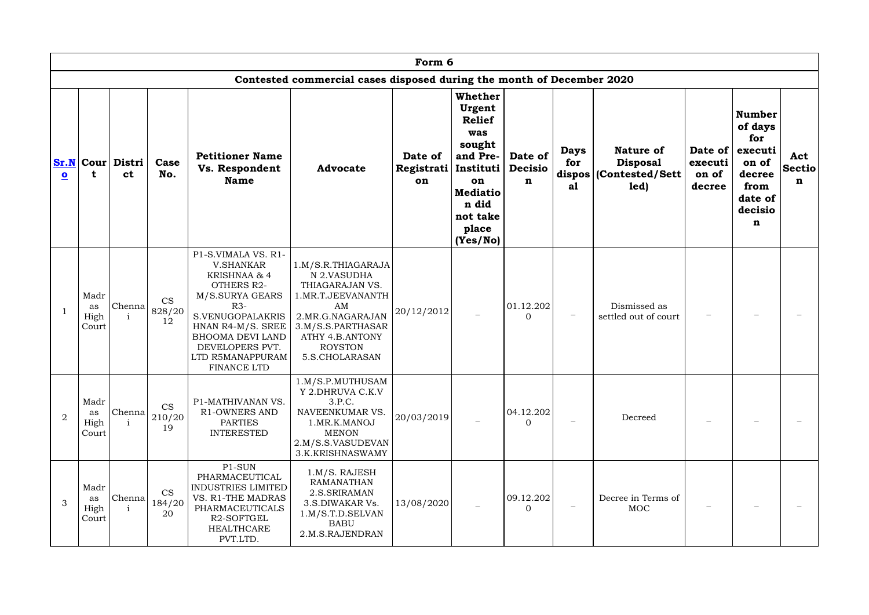|                         | Form 6                      |                                      |                           |                                                                                                                                                                                                                                    |                                                                                                                                                                                 |                             |                                                                                                                                                 |                                          |                          |                                                                        |                                       |                                                                                                  |                                     |
|-------------------------|-----------------------------|--------------------------------------|---------------------------|------------------------------------------------------------------------------------------------------------------------------------------------------------------------------------------------------------------------------------|---------------------------------------------------------------------------------------------------------------------------------------------------------------------------------|-----------------------------|-------------------------------------------------------------------------------------------------------------------------------------------------|------------------------------------------|--------------------------|------------------------------------------------------------------------|---------------------------------------|--------------------------------------------------------------------------------------------------|-------------------------------------|
|                         |                             |                                      |                           |                                                                                                                                                                                                                                    | Contested commercial cases disposed during the month of December 2020                                                                                                           |                             |                                                                                                                                                 |                                          |                          |                                                                        |                                       |                                                                                                  |                                     |
| $\overline{\mathbf{o}}$ | t                           | <b>Sr.N Cour Distri</b><br><b>ct</b> | Case<br>No.               | <b>Petitioner Name</b><br>Vs. Respondent<br><b>Name</b>                                                                                                                                                                            | <b>Advocate</b>                                                                                                                                                                 | Date of<br>Registrati<br>on | Whether<br>Urgent<br><b>Relief</b><br>was<br>sought<br>and Pre-<br>Instituti<br>on<br><b>Mediatio</b><br>n did<br>not take<br>place<br>(Yes/No) | Date of<br><b>Decisio</b><br>$\mathbf n$ | <b>Days</b><br>for<br>al | <b>Nature of</b><br><b>Disposal</b><br>dispos (Contested/Sett)<br>led) | Date of<br>executi<br>on of<br>decree | <b>Number</b><br>of days<br>for<br>executi<br>on of<br>decree<br>from<br>date of<br>decisio<br>n | Act<br><b>Sectio</b><br>$\mathbf n$ |
|                         | Madr<br>as<br>High<br>Court | Chenna                               | <b>CS</b><br>828/20<br>12 | P1-S.VIMALA VS. R1-<br><b>V.SHANKAR</b><br>KRISHNAA & 4<br><b>OTHERS R2-</b><br>M/S.SURYA GEARS<br>$R3-$<br>S.VENUGOPALAKRIS<br>HNAN R4-M/S. SREE<br><b>BHOOMA DEVI LAND</b><br>DEVELOPERS PVT.<br>LTD R5MANAPPURAM<br>FINANCE LTD | 1.M/S.R.THIAGARAJA<br>N 2.VASUDHA<br>THIAGARAJAN VS.<br>I.MR.T.JEEVANANTH<br>AM<br>2.MR.G.NAGARAJAN<br>3.M/S.S.PARTHASAR<br>ATHY 4.B.ANTONY<br><b>ROYSTON</b><br>5.S.CHOLARASAN | 20/12/2012                  |                                                                                                                                                 | 01.12.202<br>$\overline{0}$              | —                        | Dismissed as<br>settled out of court                                   |                                       |                                                                                                  |                                     |
| 2                       | Madr<br>as<br>High<br>Court | Chenna                               | <b>CS</b><br>210/20<br>19 | P1-MATHIVANAN VS.<br><b>R1-OWNERS AND</b><br><b>PARTIES</b><br><b>INTERESTED</b>                                                                                                                                                   | 1.M/S.P.MUTHUSAM<br>Y 2. DHRUVA C.K.V<br>3.P.C.<br>NAVEENKUMAR VS.<br>1.MR.K.MANOJ<br><b>MENON</b><br>2.M/S.S.VASUDEVAN<br>3.K.KRISHNASWAMY                                     | 20/03/2019                  |                                                                                                                                                 | 04.12.202<br>$\overline{0}$              |                          | Decreed                                                                |                                       |                                                                                                  |                                     |
| 3                       | Madr<br>as<br>High<br>Court | Chenna<br>$\mathbf{i}$               | <b>CS</b><br>184/20<br>20 | P1-SUN<br>PHARMACEUTICAL<br>INDUSTRIES LIMITED<br>VS. R1-THE MADRAS<br>PHARMACEUTICALS<br>R2-SOFTGEL<br><b>HEALTHCARE</b><br>PVT.LTD.                                                                                              | $1.M/S.$ RAJESH<br><b>RAMANATHAN</b><br>2.S.SRIRAMAN<br>3.S.DIWAKAR Vs.<br>1.M/S.T.D.SELVAN<br><b>BABU</b><br>2.M.S.RAJENDRAN                                                   | 13/08/2020                  |                                                                                                                                                 | 09.12.202<br>$\overline{0}$              |                          | Decree in Terms of<br>MOC                                              |                                       |                                                                                                  |                                     |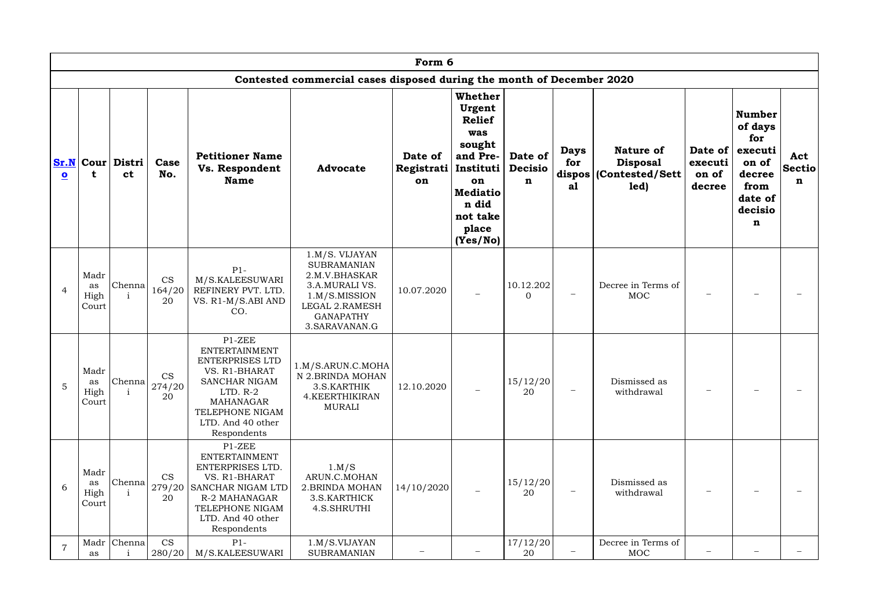|                         | Form 6                      |                                                             |                                        |                                                                                                                                                                                     |                                                                                                                                                          |                             |                                                                                                                                                        |                                          |                          |                                                                        |                                           |                                                                                                  |                                     |
|-------------------------|-----------------------------|-------------------------------------------------------------|----------------------------------------|-------------------------------------------------------------------------------------------------------------------------------------------------------------------------------------|----------------------------------------------------------------------------------------------------------------------------------------------------------|-----------------------------|--------------------------------------------------------------------------------------------------------------------------------------------------------|------------------------------------------|--------------------------|------------------------------------------------------------------------|-------------------------------------------|--------------------------------------------------------------------------------------------------|-------------------------------------|
|                         |                             |                                                             |                                        |                                                                                                                                                                                     | Contested commercial cases disposed during the month of December 2020                                                                                    |                             |                                                                                                                                                        |                                          |                          |                                                                        |                                           |                                                                                                  |                                     |
| $\overline{\mathbf{o}}$ |                             | $\textbf{Sr.N} \textbf{Cour} \textbf{Distri} $<br><b>ct</b> | Case<br>No.                            | <b>Petitioner Name</b><br>Vs. Respondent<br><b>Name</b>                                                                                                                             | <b>Advocate</b>                                                                                                                                          | Date of<br>Registrati<br>on | <b>Whether</b><br>Urgent<br><b>Relief</b><br>was<br>sought<br>and Pre-<br>Instituti<br>on<br><b>Mediatio</b><br>n did<br>not take<br>place<br>(Yes/No) | Date of<br><b>Decisio</b><br>$\mathbf n$ | <b>Days</b><br>for<br>a1 | <b>Nature of</b><br><b>Disposal</b><br>dispos (Contested/Sett)<br>led) | Date of $ $<br>executi<br>on of<br>decree | <b>Number</b><br>of days<br>for<br>executi<br>on of<br>decree<br>from<br>date of<br>decisio<br>n | Act<br><b>Sectio</b><br>$\mathbf n$ |
| $\overline{4}$          | Madr<br>as<br>High<br>Court | Chenna                                                      | <b>CS</b><br>164/20<br>20              | $P1-$<br>M/S.KALEESUWARI<br>REFINERY PVT. LTD.<br>VS. R1-M/S.ABI AND<br>CO.                                                                                                         | 1.M/S. VIJAYAN<br><b>SUBRAMANIAN</b><br>2.M.V.BHASKAR<br>3.A.MURALI VS.<br>1.M/S.MISSION<br><b>LEGAL 2.RAMESH</b><br><b>GANAPATHY</b><br>3. SARAVANAN. G | 10.07.2020                  |                                                                                                                                                        | 10.12.202<br>$\overline{0}$              |                          | Decree in Terms of<br><b>MOC</b>                                       |                                           |                                                                                                  |                                     |
| 5                       | Madr<br>as<br>High<br>Court | Chenna                                                      | $\mathbb{C}\mathbf{S}$<br>274/20<br>20 | P1-ZEE<br><b>ENTERTAINMENT</b><br>ENTERPRISES LTD<br>VS. R1-BHARAT<br><b>SANCHAR NIGAM</b><br>$LTD. R-2$<br><b>MAHANAGAR</b><br>TELEPHONE NIGAM<br>LTD. And 40 other<br>Respondents | 1.M/S.ARUN.C.MOHA<br>N 2.BRINDA MOHAN<br>3.S.KARTHIK<br>4.KEERTHIKIRAN<br><b>MURALI</b>                                                                  | 12.10.2020                  | $\overline{\phantom{m}}$                                                                                                                               | 15/12/20<br>20                           |                          | Dismissed as<br>withdrawal                                             |                                           |                                                                                                  |                                     |
| 6                       | Madr<br>as<br>High<br>Court | Chenna                                                      | <b>CS</b><br>20                        | P1-ZEE<br><b>ENTERTAINMENT</b><br>ENTERPRISES LTD.<br>VS. R1-BHARAT<br>279/20 SANCHAR NIGAM LTD<br>R-2 MAHANAGAR<br>TELEPHONE NIGAM<br>LTD. And 40 other<br>Respondents             | 1.M/S<br>ARUN.C.MOHAN<br>2. BRINDA MOHAN<br>3.S.KARTHICK<br>4.S.SHRUTHI                                                                                  | 14/10/2020                  | $\overline{\phantom{m}}$                                                                                                                               | 15/12/20<br>20                           |                          | Dismissed as<br>withdrawal                                             |                                           |                                                                                                  |                                     |
|                         | as                          | Madr Chenna                                                 | <b>CS</b><br>280/20                    | $P1-$<br>M/S.KALEESUWARI                                                                                                                                                            | 1.M/S.VIJAYAN<br><b>SUBRAMANIAN</b>                                                                                                                      |                             |                                                                                                                                                        | 17/12/20<br>20                           |                          | Decree in Terms of<br>MOC                                              |                                           |                                                                                                  |                                     |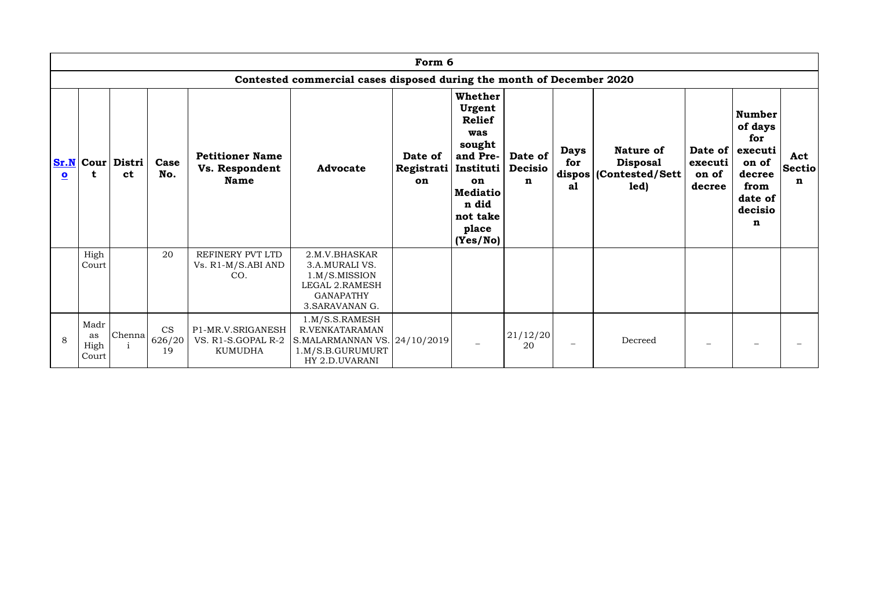|                         | Form 6                                                                |                                          |                           |                                                           |                                                                                                                  |                             |                                                                                                                                                 |                                           |                          |                                                                    |                                       |                                                                                                  |                                     |
|-------------------------|-----------------------------------------------------------------------|------------------------------------------|---------------------------|-----------------------------------------------------------|------------------------------------------------------------------------------------------------------------------|-----------------------------|-------------------------------------------------------------------------------------------------------------------------------------------------|-------------------------------------------|--------------------------|--------------------------------------------------------------------|---------------------------------------|--------------------------------------------------------------------------------------------------|-------------------------------------|
|                         | Contested commercial cases disposed during the month of December 2020 |                                          |                           |                                                           |                                                                                                                  |                             |                                                                                                                                                 |                                           |                          |                                                                    |                                       |                                                                                                  |                                     |
| $\overline{\mathbf{o}}$ | t                                                                     | $\textbf{Sr.N}$ Cour Distri<br><b>ct</b> | Case<br>No.               | <b>Petitioner Name</b><br>Vs. Respondent<br><b>Name</b>   | <b>Advocate</b>                                                                                                  | Date of<br>Registrati<br>on | Whether<br>Urgent<br><b>Relief</b><br>was<br>sought<br>and Pre-<br>Instituti<br>on<br><b>Mediatio</b><br>n did<br>not take<br>place<br>(Yes/No) | Date of<br><b>Decisio</b><br>$\mathbf{n}$ | <b>Days</b><br>for<br>al | Nature of<br><b>Disposal</b><br>dispos   (Contested/Sett  <br>led) | Date of<br>executi<br>on of<br>decree | <b>Number</b><br>of days<br>for<br>executi<br>on of<br>decree<br>from<br>date of<br>decisio<br>n | Act<br><b>Sectio</b><br>$\mathbf n$ |
|                         | High<br>Court                                                         |                                          | 20                        | REFINERY PVT LTD<br>Vs. R1-M/S.ABI AND<br>CO.             | 2.M.V.BHASKAR<br>3.A.MURALI VS.<br>1.M/S.MISSION<br><b>LEGAL 2.RAMESH</b><br><b>GANAPATHY</b><br>3. SARAVANAN G. |                             |                                                                                                                                                 |                                           |                          |                                                                    |                                       |                                                                                                  |                                     |
| 8                       | Madr<br>as<br>High<br>Court                                           | <b>Chenna</b>                            | <b>CS</b><br>626/20<br>19 | P1-MR.V.SRIGANESH<br>VS. R1-S.GOPAL R-2<br><b>KUMUDHA</b> | 1.M/S.S.RAMESH<br>R.VENKATARAMAN<br>S.MALARMANNAN VS. $24/10/2019$<br>1.M/S.B.GURUMURT<br>HY 2.D.UVARANI         |                             |                                                                                                                                                 | 21/12/20<br>20                            |                          | Decreed                                                            |                                       |                                                                                                  |                                     |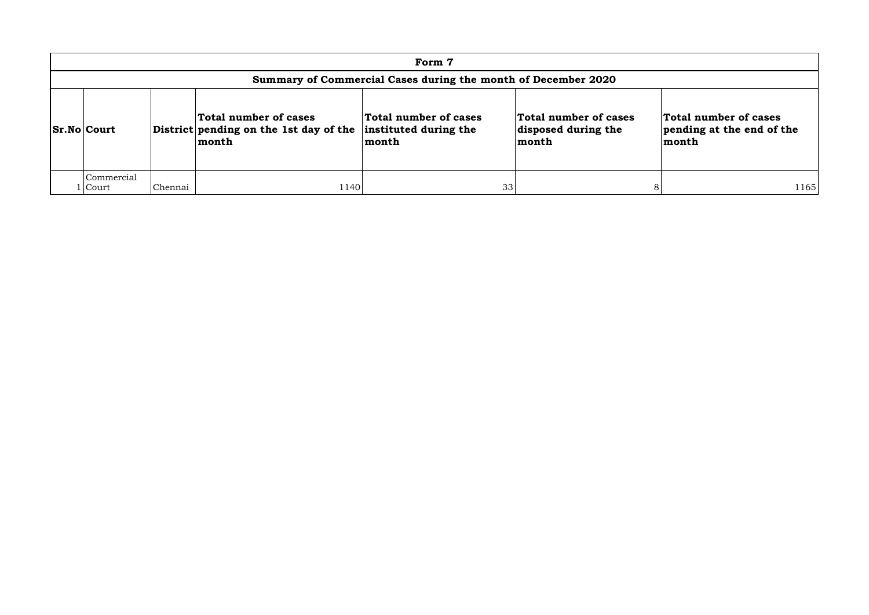| Form 7                                                        |         |                                                                          |                                                         |                                                       |                                                             |  |  |  |  |
|---------------------------------------------------------------|---------|--------------------------------------------------------------------------|---------------------------------------------------------|-------------------------------------------------------|-------------------------------------------------------------|--|--|--|--|
| Summary of Commercial Cases during the month of December 2020 |         |                                                                          |                                                         |                                                       |                                                             |  |  |  |  |
| <b>Sr.No Court</b>                                            |         | Total number of cases<br>District pending on the 1st day of the<br>month | Total number of cases<br>instituted during the<br>month | Total number of cases<br>disposed during the<br>month | Total number of cases<br>pending at the end of the<br>month |  |  |  |  |
| Commercial<br><b>Court</b>                                    | Chennai | 1140                                                                     | 33                                                      |                                                       | 1165                                                        |  |  |  |  |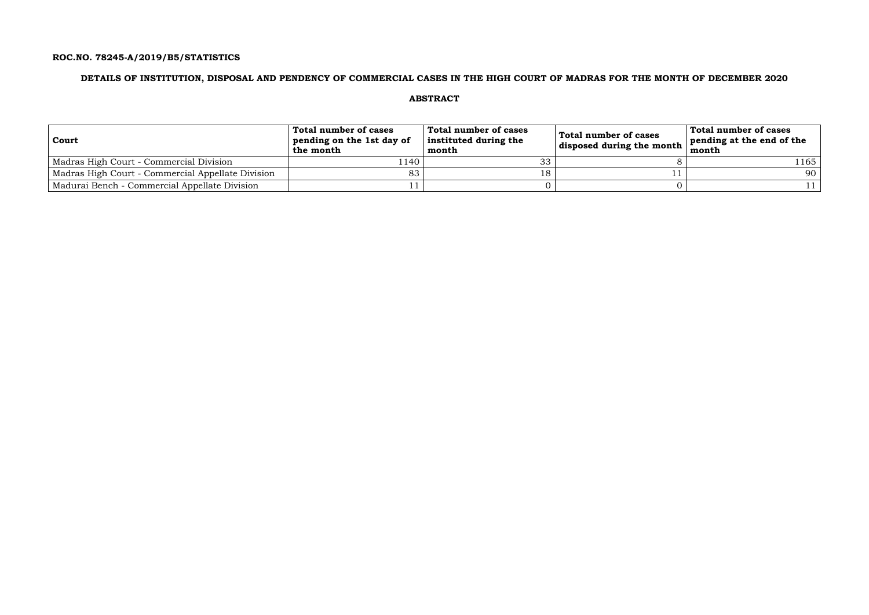## **ROC.NO. 78245-A/2019/B5/STATISTICS**

### **DETAILS OF INSTITUTION, DISPOSAL AND PENDENCY OF COMMERCIAL CASES IN THE HIGH COURT OF MADRAS FOR THE MONTH OF DECEMBER 2020**

## **ABSTRACT**

| Court                                             | Total number of cases<br>pending on the 1st day of<br>the month | Total number of cases<br>instituted during the<br>month | Total number of cases<br>disposed during the month | Total number of cases<br>pending at the end of the<br>month |
|---------------------------------------------------|-----------------------------------------------------------------|---------------------------------------------------------|----------------------------------------------------|-------------------------------------------------------------|
| Madras High Court - Commercial Division           | 1140                                                            | 33                                                      |                                                    | l 165                                                       |
| Madras High Court - Commercial Appellate Division | 83                                                              | 18                                                      |                                                    | 90                                                          |
| Madurai Bench - Commercial Appellate Division     |                                                                 |                                                         |                                                    |                                                             |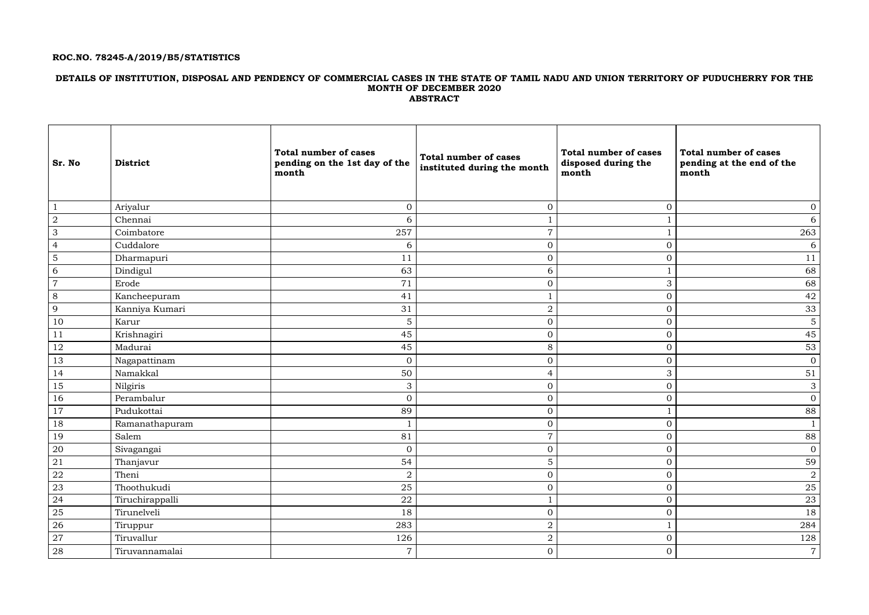## **ROC.NO. 78245-A/2019/B5/STATISTICS**

### **DETAILS OF INSTITUTION, DISPOSAL AND PENDENCY OF COMMERCIAL CASES IN THE STATE OF TAMIL NADU AND UNION TERRITORY OF PUDUCHERRY FOR THE MONTH OF DECEMBER 2020 ABSTRACT**

| <b>Sr. No</b>                                                     | <b>District</b> | <b>Total number of cases</b><br>pending on the 1st day of the<br>month | <b>Total number of cases</b><br>instituted during the month | <b>Total number of cases</b><br>disposed during the<br>month | <b>Total number of cases</b><br>pending at the end of the<br>month |
|-------------------------------------------------------------------|-----------------|------------------------------------------------------------------------|-------------------------------------------------------------|--------------------------------------------------------------|--------------------------------------------------------------------|
| $\mathbf{1}$                                                      | Ariyalur        | $\mathbf{0}$                                                           | $\overline{0}$                                              | $\overline{0}$                                               | $\overline{0}$                                                     |
| $\overline{2}$                                                    | Chennai         | 6                                                                      |                                                             |                                                              | 6                                                                  |
| $\mathfrak{Z}$                                                    | Coimbatore      | $257\,$                                                                | $\overline{7}$                                              | $\mathbf{1}$                                                 | 263                                                                |
| $\overline{4}$                                                    | Cuddalore       | 6                                                                      | $\boldsymbol{0}$                                            | $\overline{0}$                                               | 6                                                                  |
| $\overline{5}$                                                    | Dharmapuri      | 11                                                                     | $\boldsymbol{0}$                                            | $\mathbf{0}$                                                 | 11                                                                 |
| 6                                                                 | Dindigul        | 63                                                                     | 6                                                           |                                                              | 68                                                                 |
| $\overline{7}$                                                    | Erode           | 71                                                                     | $\mathbf{0}$                                                | $\mathfrak{Z}$                                               | 68                                                                 |
| 8                                                                 | Kancheepuram    | 41                                                                     |                                                             | $\overline{0}$                                               | 42                                                                 |
| 9                                                                 | Kanniya Kumari  | 31                                                                     | $\overline{2}$                                              | $\overline{0}$                                               | 33                                                                 |
| 10                                                                | Karur           | 5                                                                      | $\overline{0}$                                              | $\overline{0}$                                               | $\mathbf 5$                                                        |
| 11                                                                | Krishnagiri     | 45                                                                     | $\boldsymbol{0}$                                            | $\overline{0}$                                               | 45                                                                 |
| 12                                                                | Madurai         | 45                                                                     | 8                                                           | $\overline{0}$                                               | 53                                                                 |
| 13                                                                | Nagapattinam    | $\overline{0}$                                                         | $\overline{0}$                                              | $\overline{0}$                                               | $\overline{0}$                                                     |
| 14                                                                | Namakkal        | 50                                                                     | $\overline{4}$                                              | 3                                                            | 51                                                                 |
| 15                                                                | Nilgiris        | 3                                                                      | $\mathbf{0}$                                                | $\overline{O}$                                               | $\mathfrak{Z}$                                                     |
| 16                                                                | Perambalur      | $\mathbf{0}$                                                           | $\overline{0}$                                              | $\overline{0}$                                               | $\overline{0}$                                                     |
| 17                                                                | Pudukottai      | 89                                                                     | $\boldsymbol{0}$                                            | $\mathbf{1}$                                                 | 88                                                                 |
| 18                                                                | Ramanathapuram  |                                                                        | $\overline{0}$                                              | $\mathbf{0}$                                                 |                                                                    |
| 19                                                                | Salem           | 81                                                                     | $\overline{7}$                                              | $\overline{0}$                                               | 88                                                                 |
| $\begin{array}{ c } \hline 20 \\ \hline 21 \\ \hline \end{array}$ | Sivagangai      | $\Omega$<br>◡                                                          | $\Omega$<br>◡                                               | $\Omega$<br>$\vee$                                           | $\overline{0}$                                                     |
|                                                                   | Thanjavur       | 54                                                                     | 5                                                           | $\overline{O}$                                               | 59                                                                 |
| 22                                                                | Theni           | $\overline{2}$                                                         | $\overline{0}$                                              | $\overline{0}$                                               | $\overline{a}$                                                     |
| 23                                                                | Thoothukudi     | 25                                                                     | $\boldsymbol{0}$                                            | $\overline{0}$                                               | $25\,$                                                             |
| 24                                                                | Tiruchirappalli | 22                                                                     |                                                             | $\overline{0}$                                               | 23                                                                 |
| $\frac{1}{25}$                                                    | Tirunelveli     | 18                                                                     | $\boldsymbol{0}$                                            | $\overline{0}$                                               | 18                                                                 |
| 26                                                                | Tiruppur        | 283                                                                    | $\boldsymbol{2}$                                            | $\mathbf{1}$                                                 | 284                                                                |
| 27                                                                | Tiruvallur      | 126                                                                    | $\sqrt{2}$                                                  | $\boldsymbol{0}$                                             | 128                                                                |
| ${\bf 28}$                                                        | Tiruvannamalai  | $\overline{7}$                                                         | $\boldsymbol{0}$                                            | $\overline{0}$                                               | $\overline{7}$                                                     |